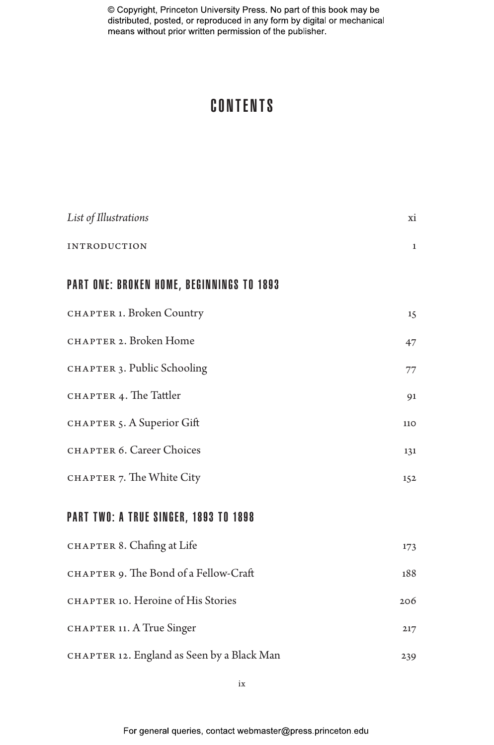# CONTENTS

| List of Illustrations                        | xi           |
|----------------------------------------------|--------------|
| <b>INTRODUCTION</b>                          | $\mathbf{1}$ |
| PART ONE: BROKEN HOME, BEGINNINGS TO 1893    |              |
| CHAPTER 1. Broken Country                    | 15           |
| CHAPTER 2. Broken Home                       | 47           |
| CHAPTER 3. Public Schooling                  | 77           |
| CHAPTER 4. The Tattler                       | 91           |
| CHAPTER 5. A Superior Gift                   | 110          |
| CHAPTER 6. Career Choices                    | 131          |
| CHAPTER 7. The White City                    | 152          |
| <b>PART TWO: A TRUE SINGER, 1893 TO 1898</b> |              |
| CHAPTER 8. Chafing at Life                   | 173          |
| CHAPTER 9. The Bond of a Fellow-Craft        | 188          |
| CHAPTER 10. Heroine of His Stories           | 206          |
| CHAPTER 11. A True Singer                    | 217          |
| CHAPTER 12. England as Seen by a Black Man   | 239          |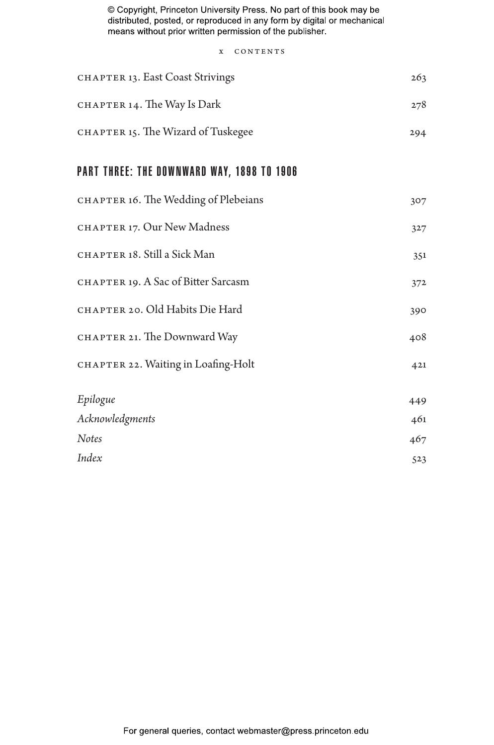x CONTENTS

| CHAPTER 13. East Coast Strivings           | 263 |
|--------------------------------------------|-----|
| CHAPTER 14. The Way Is Dark                | 278 |
| CHAPTER 15. The Wizard of Tuskegee         | 294 |
| PART THREE: THE DOWNWARD WAY, 1898 TO 1906 |     |
| CHAPTER 16. The Wedding of Plebeians       | 307 |
| CHAPTER 17. Our New Madness                | 327 |
| CHAPTER 18. Still a Sick Man               | 351 |
| CHAPTER 19. A Sac of Bitter Sarcasm        | 372 |
| CHAPTER 20. Old Habits Die Hard            | 390 |
| CHAPTER 21. The Downward Way               | 408 |
| CHAPTER 22. Waiting in Loafing-Holt        | 421 |
| Epilogue                                   | 449 |
| Acknowledgments                            | 461 |
| Notes                                      | 467 |
| Index                                      | 523 |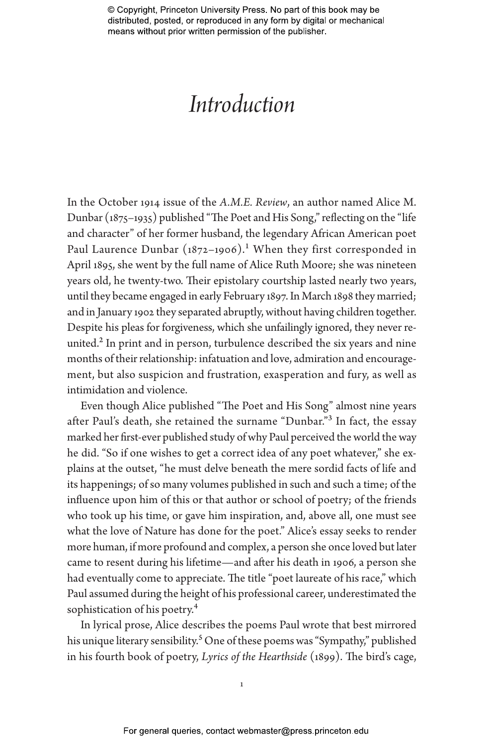# *Introduction*

In the October 1914 issue of the *A.M.E. Review*, an author named Alice M. Dunbar (1875–1935) published "The Poet and His Song," reflecting on the "life and character" of her former husband, the legendary African American poet Paul Laurence Dunbar  $(1872-1906)$ .<sup>1</sup> When they first corresponded in April 1895, she went by the full name of Alice Ruth Moore; she was nineteen years old, he twenty-two. Their epistolary courtship lasted nearly two years, until they became engaged in early February 1897. In March 1898 they married; and in January 1902 they separated abruptly, without having children together. Despite his pleas for forgiveness, which she unfailingly ignored, they never reunited.<sup>2</sup> In print and in person, turbulence described the six years and nine months of their relationship: infatuation and love, admiration and encouragement, but also suspicion and frustration, exasperation and fury, as well as intimidation and violence.

Even though Alice published "The Poet and His Song" almost nine years after Paul's death, she retained the surname "Dunbar."3 In fact, the essay marked her first-ever published study of why Paul perceived the world the way he did. "So if one wishes to get a correct idea of any poet whatever," she explains at the outset, "he must delve beneath the mere sordid facts of life and its happenings; of so many volumes published in such and such a time; of the influence upon him of this or that author or school of poetry; of the friends who took up his time, or gave him inspiration, and, above all, one must see what the love of Nature has done for the poet." Alice's essay seeks to render more human, if more profound and complex, a person she once loved but later came to resent during his lifetime—and after his death in 1906, a person she had eventually come to appreciate. The title "poet laureate of his race," which Paul assumed during the height of his professional career, underestimated the sophistication of his poetry.<sup>4</sup>

In lyrical prose, Alice describes the poems Paul wrote that best mirrored his unique literary sensibility.<sup>5</sup> One of these poems was "Sympathy," published in his fourth book of poetry, *Lyrics of the Hearthside* (1899). The bird's cage,

1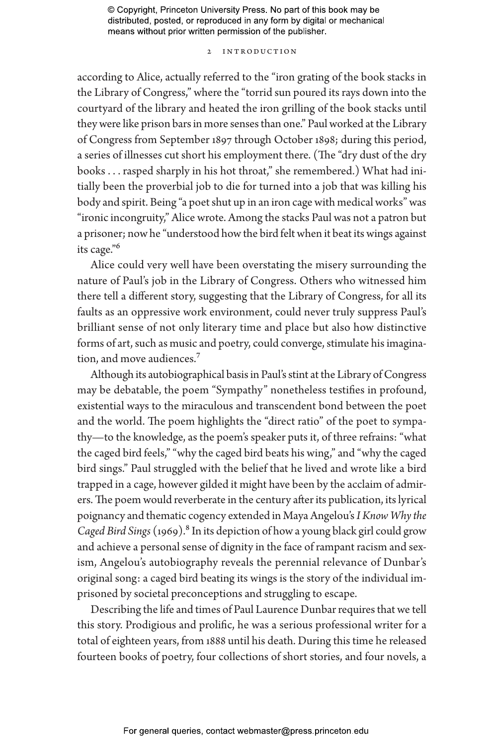### 2 Introduction

according to Alice, actually referred to the "iron grating of the book stacks in the Library of Congress," where the "torrid sun poured its rays down into the courtyard of the library and heated the iron grilling of the book stacks until they were like prison bars in more senses than one." Paul worked at the Library of Congress from September 1897 through October 1898; during this period, a series of illnesses cut short his employment there. (The "dry dust of the dry books . . . rasped sharply in his hot throat," she remembered.) What had initially been the proverbial job to die for turned into a job that was killing his body and spirit. Being "a poet shut up in an iron cage with medical works" was "ironic incongruity," Alice wrote. Among the stacks Paul was not a patron but a prisoner; now he "understood how the bird felt when it beat its wings against its cage."6

Alice could very well have been overstating the misery surrounding the nature of Paul's job in the Library of Congress. Others who witnessed him there tell a different story, suggesting that the Library of Congress, for all its faults as an oppressive work environment, could never truly suppress Paul's brilliant sense of not only literary time and place but also how distinctive forms of art, such as music and poetry, could converge, stimulate his imagination, and move audiences.7

Although its autobiographical basis in Paul's stint at the Library of Congress may be debatable, the poem "Sympathy" nonetheless testifies in profound, existential ways to the miraculous and transcendent bond between the poet and the world. The poem highlights the "direct ratio" of the poet to sympathy—to the knowledge, as the poem's speaker puts it, of three refrains: "what the caged bird feels," "why the caged bird beats his wing," and "why the caged bird sings." Paul struggled with the belief that he lived and wrote like a bird trapped in a cage, however gilded it might have been by the acclaim of admirers. The poem would reverberate in the century after its publication, its lyrical poignancy and thematic cogency extended in Maya Angelou's *I Know Why the Caged Bird Sings* (1969).8 In its depiction of how a young black girl could grow and achieve a personal sense of dignity in the face of rampant racism and sexism, Angelou's autobiography reveals the perennial relevance of Dunbar's original song: a caged bird beating its wings is the story of the individual imprisoned by societal preconceptions and struggling to escape.

Describing the life and times of Paul Laurence Dunbar requires that we tell this story. Prodigious and prolific, he was a serious professional writer for a total of eighteen years, from 1888 until his death. During this time he released fourteen books of poetry, four collections of short stories, and four novels, a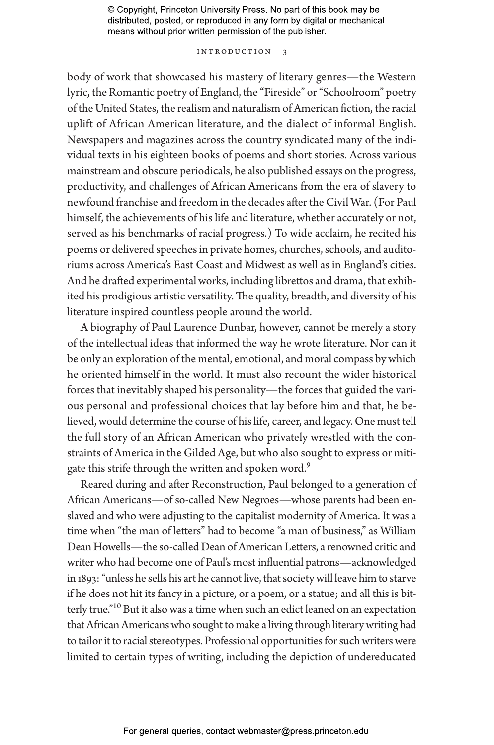#### Introduction 3

body of work that showcased his mastery of literary genres—the Western lyric, the Romantic poetry of England, the "Fireside" or "Schoolroom" poetry of the United States, the realism and naturalism of American fiction, the racial uplift of African American literature, and the dialect of informal English. Newspapers and magazines across the country syndicated many of the individual texts in his eighteen books of poems and short stories. Across various mainstream and obscure periodicals, he also published essays on the progress, productivity, and challenges of African Americans from the era of slavery to newfound franchise and freedom in the decades after the Civil War. (For Paul himself, the achievements of his life and literature, whether accurately or not, served as his benchmarks of racial progress.) To wide acclaim, he recited his poems or delivered speeches in private homes, churches, schools, and auditoriums across America's East Coast and Midwest as well as in England's cities. And he drafted experimental works, including librettos and drama, that exhibited his prodigious artistic versatility. The quality, breadth, and diversity of his literature inspired countless people around the world.

A biography of Paul Laurence Dunbar, however, cannot be merely a story of the intellectual ideas that informed the way he wrote literature. Nor can it be only an exploration of the mental, emotional, and moral compass by which he oriented himself in the world. It must also recount the wider historical forces that inevitably shaped his personality—the forces that guided the various personal and professional choices that lay before him and that, he believed, would determine the course of his life, career, and legacy. One must tell the full story of an African American who privately wrestled with the constraints of America in the Gilded Age, but who also sought to express or mitigate this strife through the written and spoken word.<sup>9</sup>

Reared during and after Reconstruction, Paul belonged to a generation of African Americans—of so-called New Negroes—whose parents had been enslaved and who were adjusting to the capitalist modernity of America. It was a time when "the man of letters" had to become "a man of business," as William Dean Howells—the so-called Dean of American Letters, a renowned critic and writer who had become one of Paul's most influential patrons—acknowledged in 1893: "unless he sells his art he cannot live, that society will leave him to starve if he does not hit its fancy in a picture, or a poem, or a statue; and all this is bitterly true."10 But it also was a time when such an edict leaned on an expectation that African Americans who sought to make a living through literary writing had to tailor it to racial stereotypes. Professional opportunities for such writers were limited to certain types of writing, including the depiction of undereducated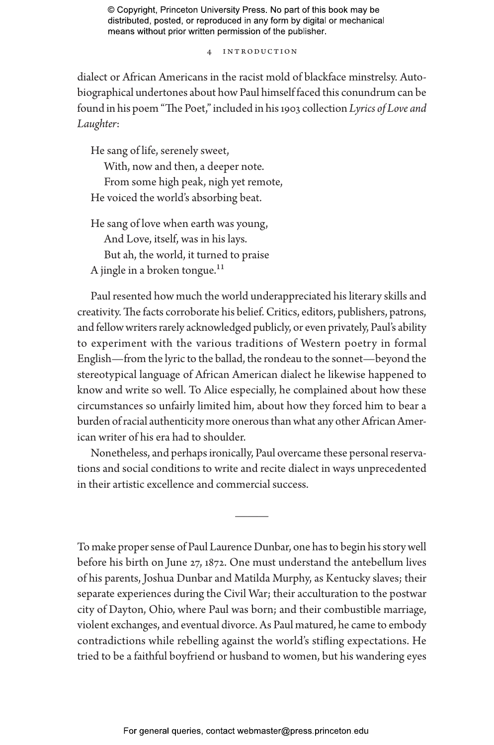4 Introduction

dialect or African Americans in the racist mold of blackface minstrelsy. Autobiographical undertones about how Paul himself faced this conundrum can be found in his poem "The Poet," included in his 1903 collection *Lyrics of Love and Laughter*:

He sang of life, serenely sweet,

With, now and then, a deeper note. From some high peak, nigh yet remote, He voiced the world's absorbing beat.

He sang of love when earth was young, And Love, itself, was in his lays. But ah, the world, it turned to praise A jingle in a broken tongue.<sup>11</sup>

Paul resented how much the world underappreciated his literary skills and creativity. The facts corroborate his belief. Critics, editors, publishers, patrons, and fellow writers rarely acknowledged publicly, or even privately, Paul's ability to experiment with the various traditions of Western poetry in formal English—from the lyric to the ballad, the rondeau to the sonnet—beyond the stereotypical language of African American dialect he likewise happened to know and write so well. To Alice especially, he complained about how these circumstances so unfairly limited him, about how they forced him to bear a burden of racial authenticity more onerous than what any other African American writer of his era had to shoulder.

Nonetheless, and perhaps ironically, Paul overcame these personal reservations and social conditions to write and recite dialect in ways unprecedented in their artistic excellence and commercial success.

———

To make proper sense of Paul Laurence Dunbar, one has to begin his story well before his birth on June 27, 1872. One must understand the antebellum lives of his parents, Joshua Dunbar and Matilda Murphy, as Kentucky slaves; their separate experiences during the Civil War; their acculturation to the postwar city of Dayton, Ohio, where Paul was born; and their combustible marriage, violent exchanges, and eventual divorce. As Paul matured, he came to embody contradictions while rebelling against the world's stifling expectations. He tried to be a faithful boyfriend or husband to women, but his wandering eyes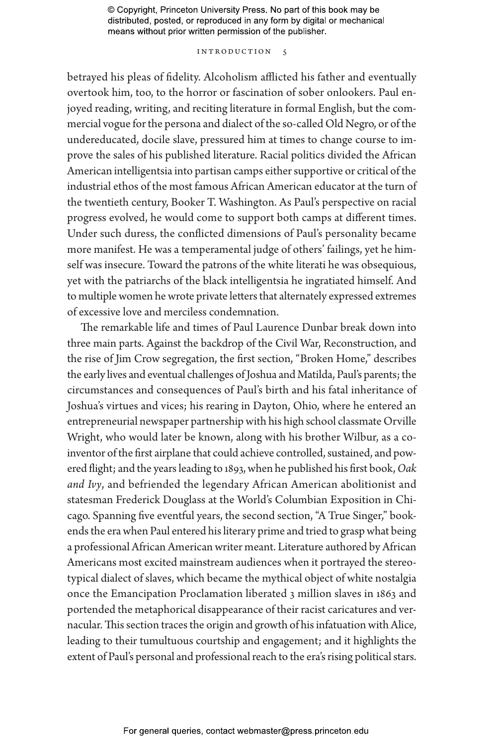### INTRODUCTION 5

betrayed his pleas of fidelity. Alcoholism afflicted his father and eventually overtook him, too, to the horror or fascination of sober onlookers. Paul enjoyed reading, writing, and reciting literature in formal English, but the commercial vogue for the persona and dialect of the so-called Old Negro, or of the undereducated, docile slave, pressured him at times to change course to improve the sales of his published literature. Racial politics divided the African American intelligentsia into partisan camps either supportive or critical of the industrial ethos of the most famous African American educator at the turn of the twentieth century, Booker T. Washington. As Paul's perspective on racial progress evolved, he would come to support both camps at different times. Under such duress, the conflicted dimensions of Paul's personality became more manifest. He was a temperamental judge of others' failings, yet he himself was insecure. Toward the patrons of the white literati he was obsequious, yet with the patriarchs of the black intelligentsia he ingratiated himself. And to multiple women he wrote private letters that alternately expressed extremes of excessive love and merciless condemnation.

The remarkable life and times of Paul Laurence Dunbar break down into three main parts. Against the backdrop of the Civil War, Reconstruction, and the rise of Jim Crow segregation, the first section, "Broken Home," describes the early lives and eventual challenges of Joshua and Matilda, Paul's parents; the circumstances and consequences of Paul's birth and his fatal inheritance of Joshua's virtues and vices; his rearing in Dayton, Ohio, where he entered an entrepreneurial newspaper partnership with his high school classmate Orville Wright, who would later be known, along with his brother Wilbur, as a coinventor of the first airplane that could achieve controlled, sustained, and powered flight; and the years leading to 1893, when he published his first book, *Oak and Ivy*, and befriended the legendary African American abolitionist and statesman Frederick Douglass at the World's Columbian Exposition in Chicago. Spanning five eventful years, the second section, "A True Singer," bookends the era when Paul entered his literary prime and tried to grasp what being a professional African American writer meant. Literature authored by African Americans most excited mainstream audiences when it portrayed the stereotypical dialect of slaves, which became the mythical object of white nostalgia once the Emancipation Proclamation liberated 3 million slaves in 1863 and portended the metaphorical disappearance of their racist caricatures and vernacular. This section traces the origin and growth of his infatuation with Alice, leading to their tumultuous courtship and engagement; and it highlights the extent of Paul's personal and professional reach to the era's rising political stars.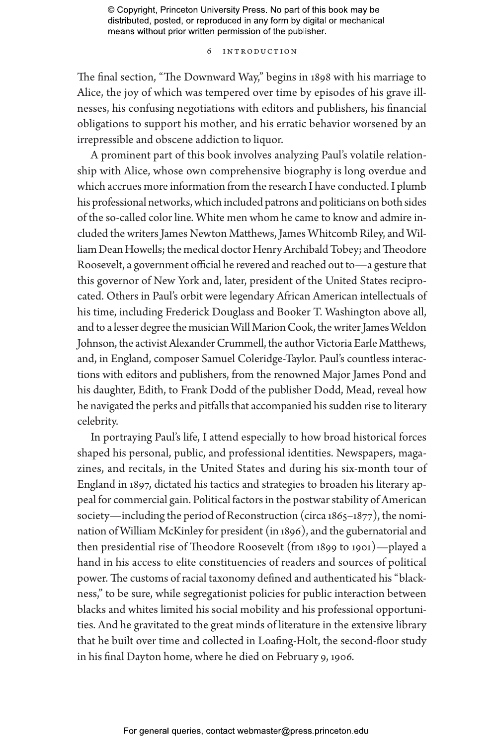#### 6 Introduction

The final section, "The Downward Way," begins in 1898 with his marriage to Alice, the joy of which was tempered over time by episodes of his grave illnesses, his confusing negotiations with editors and publishers, his financial obligations to support his mother, and his erratic behavior worsened by an irrepressible and obscene addiction to liquor.

A prominent part of this book involves analyzing Paul's volatile relationship with Alice, whose own comprehensive biography is long overdue and which accrues more information from the research I have conducted. I plumb his professional networks, which included patrons and politicians on both sides of the so-called color line. White men whom he came to know and admire included the writers James Newton Matthews, James Whitcomb Riley, and William Dean Howells; the medical doctor Henry Archibald Tobey; and Theodore Roosevelt, a government official he revered and reached out to—a gesture that this governor of New York and, later, president of the United States reciprocated. Others in Paul's orbit were legendary African American intellectuals of his time, including Frederick Douglass and Booker T. Washington above all, and to a lesser degree the musician Will Marion Cook, the writer James Weldon Johnson, the activist Alexander Crummell, the author Victoria Earle Matthews, and, in England, composer Samuel Coleridge-Taylor. Paul's countless interactions with editors and publishers, from the renowned Major James Pond and his daughter, Edith, to Frank Dodd of the publisher Dodd, Mead, reveal how he navigated the perks and pitfalls that accompanied his sudden rise to literary celebrity.

In portraying Paul's life, I attend especially to how broad historical forces shaped his personal, public, and professional identities. Newspapers, magazines, and recitals, in the United States and during his six-month tour of England in 1897, dictated his tactics and strategies to broaden his literary appeal for commercial gain. Political factors in the postwar stability of American society—including the period of Reconstruction (circa  $1865-1877$ ), the nomination of William McKinley for president (in 1896), and the gubernatorial and then presidential rise of Theodore Roosevelt (from 1899 to 1901)—played a hand in his access to elite constituencies of readers and sources of political power. The customs of racial taxonomy defined and authenticated his "blackness," to be sure, while segregationist policies for public interaction between blacks and whites limited his social mobility and his professional opportunities. And he gravitated to the great minds of literature in the extensive library that he built over time and collected in Loafing-Holt, the second-floor study in his final Dayton home, where he died on February 9, 1906.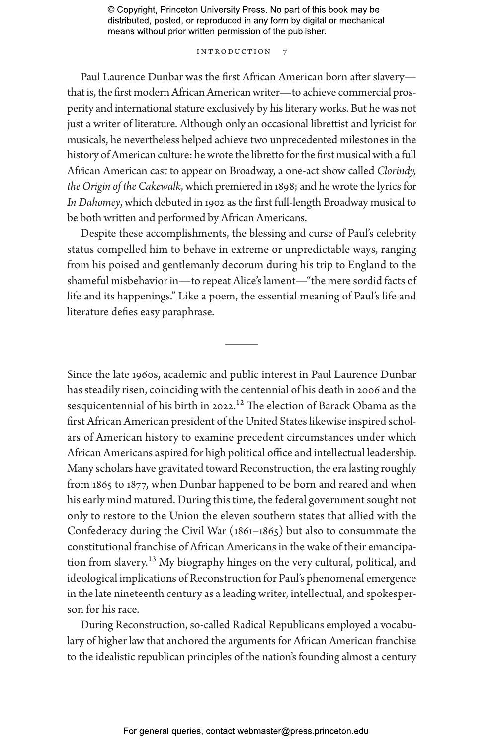### INTRODUCTION 7

Paul Laurence Dunbar was the first African American born after slavery that is, the first modern African American writer—to achieve commercial prosperity and international stature exclusively by his literary works. But he was not just a writer of literature. Although only an occasional librettist and lyricist for musicals, he nevertheless helped achieve two unprecedented milestones in the history of American culture: he wrote the libretto for the first musical with a full African American cast to appear on Broadway, a one-act show called *Clorindy, the Origin of the Cakewalk*, which premiered in 1898; and he wrote the lyrics for *In Dahomey*, which debuted in 1902 as the first full-length Broadway musical to be both written and performed by African Americans.

Despite these accomplishments, the blessing and curse of Paul's celebrity status compelled him to behave in extreme or unpredictable ways, ranging from his poised and gentlemanly decorum during his trip to England to the shameful misbehavior in—to repeat Alice's lament—"the mere sordid facts of life and its happenings." Like a poem, the essential meaning of Paul's life and literature defies easy paraphrase.

———

Since the late 1960s, academic and public interest in Paul Laurence Dunbar has steadily risen, coinciding with the centennial of his death in 2006 and the sesquicentennial of his birth in 2022.12 The election of Barack Obama as the first African American president of the United States likewise inspired scholars of American history to examine precedent circumstances under which African Americans aspired for high political office and intellectual leadership. Many scholars have gravitated toward Reconstruction, the era lasting roughly from 1865 to 1877, when Dunbar happened to be born and reared and when his early mind matured. During this time, the federal government sought not only to restore to the Union the eleven southern states that allied with the Confederacy during the Civil War (1861–1865) but also to consummate the constitutional franchise of African Americans in the wake of their emancipation from slavery.13 My biography hinges on the very cultural, political, and ideological implications of Reconstruction for Paul's phenomenal emergence in the late nineteenth century as a leading writer, intellectual, and spokesperson for his race.

During Reconstruction, so-called Radical Republicans employed a vocabulary of higher law that anchored the arguments for African American franchise to the idealistic republican principles of the nation's founding almost a century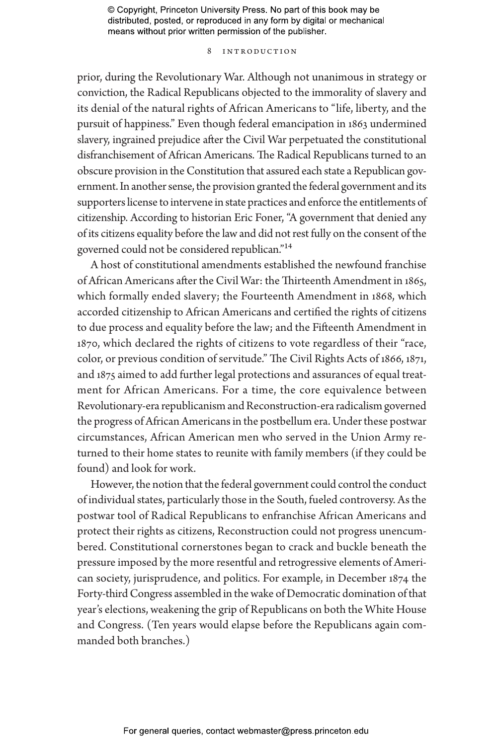#### 8 Introduction

prior, during the Revolutionary War. Although not unanimous in strategy or conviction, the Radical Republicans objected to the immorality of slavery and its denial of the natural rights of African Americans to "life, liberty, and the pursuit of happiness." Even though federal emancipation in 1863 undermined slavery, ingrained prejudice after the Civil War perpetuated the constitutional disfranchisement of African Americans. The Radical Republicans turned to an obscure provision in the Constitution that assured each state a Republican government. In another sense, the provision granted the federal government and its supporters license to intervene in state practices and enforce the entitlements of citizenship. According to historian Eric Foner, "A government that denied any of its citizens equality before the law and did not rest fully on the consent of the governed could not be considered republican."14

A host of constitutional amendments established the newfound franchise of African Americans after the Civil War: the Thirteenth Amendment in 1865, which formally ended slavery; the Fourteenth Amendment in 1868, which accorded citizenship to African Americans and certified the rights of citizens to due process and equality before the law; and the Fifteenth Amendment in 1870, which declared the rights of citizens to vote regardless of their "race, color, or previous condition of servitude." The Civil Rights Acts of 1866, 1871, and 1875 aimed to add further legal protections and assurances of equal treatment for African Americans. For a time, the core equivalence between Revolutionary-era republicanism and Reconstruction-era radicalism governed the progress of African Americans in the postbellum era. Under these postwar circumstances, African American men who served in the Union Army returned to their home states to reunite with family members (if they could be found) and look for work.

However, the notion that the federal government could control the conduct of individual states, particularly those in the South, fueled controversy. As the postwar tool of Radical Republicans to enfranchise African Americans and protect their rights as citizens, Reconstruction could not progress unencumbered. Constitutional cornerstones began to crack and buckle beneath the pressure imposed by the more resentful and retrogressive elements of American society, jurisprudence, and politics. For example, in December 1874 the Forty-third Congress assembled in the wake of Democratic domination of that year's elections, weakening the grip of Republicans on both the White House and Congress. (Ten years would elapse before the Republicans again commanded both branches.)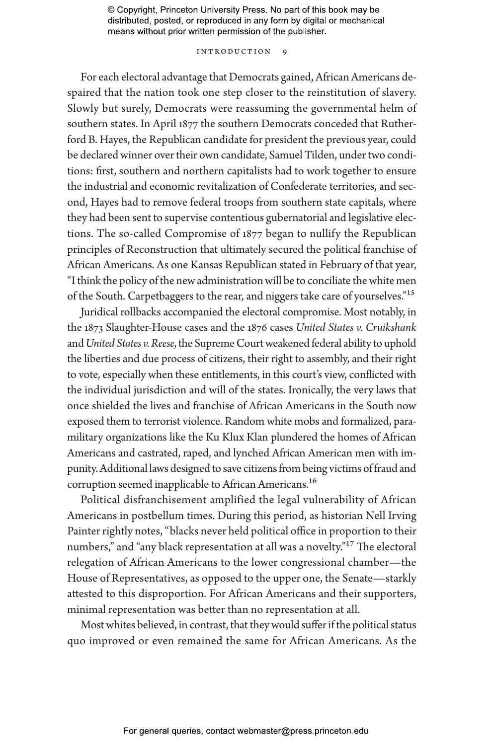#### INTRODUCTION 9

For each electoral advantage that Democrats gained, African Americans despaired that the nation took one step closer to the reinstitution of slavery. Slowly but surely, Democrats were reassuming the governmental helm of southern states. In April 1877 the southern Democrats conceded that Rutherford B. Hayes, the Republican candidate for president the previous year, could be declared winner over their own candidate, Samuel Tilden, under two conditions: first, southern and northern capitalists had to work together to ensure the industrial and economic revitalization of Confederate territories, and second, Hayes had to remove federal troops from southern state capitals, where they had been sent to supervise contentious gubernatorial and legislative elections. The so-called Compromise of 1877 began to nullify the Republican principles of Reconstruction that ultimately secured the political franchise of African Americans. As one Kansas Republican stated in February of that year, "I think the policy of the new administration will be to conciliate the white men of the South. Carpetbaggers to the rear, and niggers take care of yourselves."15

Juridical rollbacks accompanied the electoral compromise. Most notably, in the 1873 Slaughter-House cases and the 1876 cases *United States v. Cruikshank* and *United States v. Reese*, the Supreme Court weakened federal ability to uphold the liberties and due process of citizens, their right to assembly, and their right to vote, especially when these entitlements, in this court's view, conflicted with the individual jurisdiction and will of the states. Ironically, the very laws that once shielded the lives and franchise of African Americans in the South now exposed them to terrorist violence. Random white mobs and formalized, paramilitary organizations like the Ku Klux Klan plundered the homes of African Americans and castrated, raped, and lynched African American men with impunity. Additional laws designed to save citizens from being victims of fraud and corruption seemed inapplicable to African Americans.16

Political disfranchisement amplified the legal vulnerability of African Americans in postbellum times. During this period, as historian Nell Irving Painter rightly notes, "blacks never held political office in proportion to their numbers," and "any black representation at all was a novelty."17 The electoral relegation of African Americans to the lower congressional chamber—the House of Representatives, as opposed to the upper one, the Senate—starkly attested to this disproportion. For African Americans and their supporters, minimal representation was better than no representation at all.

Most whites believed, in contrast, that they would suffer if the political status quo improved or even remained the same for African Americans. As the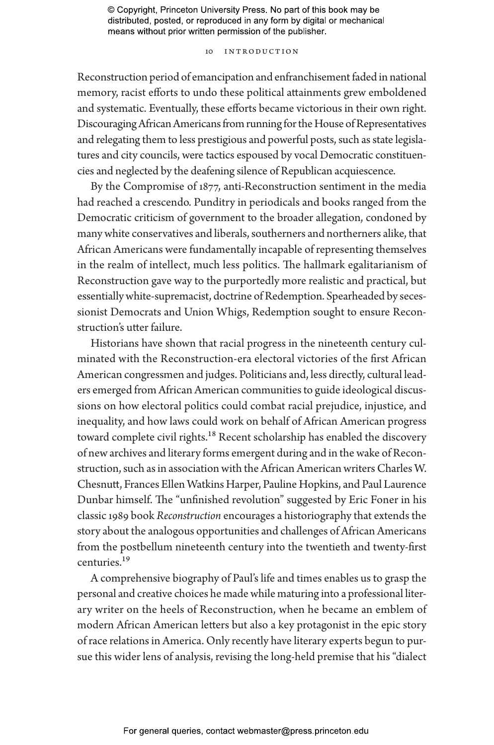#### 10 Introduction

Reconstruction period of emancipation and enfranchisement faded in national memory, racist efforts to undo these political attainments grew emboldened and systematic. Eventually, these efforts became victorious in their own right. Discouraging African Americans from running for the House of Representatives and relegating them to less prestigious and powerful posts, such as state legislatures and city councils, were tactics espoused by vocal Democratic constituencies and neglected by the deafening silence of Republican acquiescence.

By the Compromise of 1877, anti-Reconstruction sentiment in the media had reached a crescendo. Punditry in periodicals and books ranged from the Democratic criticism of government to the broader allegation, condoned by many white conservatives and liberals, southerners and northerners alike, that African Americans were fundamentally incapable of representing themselves in the realm of intellect, much less politics. The hallmark egalitarianism of Reconstruction gave way to the purportedly more realistic and practical, but essentially white-supremacist, doctrine of Redemption. Spearheaded by secessionist Democrats and Union Whigs, Redemption sought to ensure Reconstruction's utter failure.

Historians have shown that racial progress in the nineteenth century culminated with the Reconstruction-era electoral victories of the first African American congressmen and judges. Politicians and, less directly, cultural leaders emerged from African American communities to guide ideological discussions on how electoral politics could combat racial prejudice, injustice, and inequality, and how laws could work on behalf of African American progress toward complete civil rights.<sup>18</sup> Recent scholarship has enabled the discovery of new archives and literary forms emergent during and in the wake of Reconstruction, such as in association with the African American writers Charles W. Chesnutt, Frances Ellen Watkins Harper, Pauline Hopkins, and Paul Laurence Dunbar himself. The "unfinished revolution" suggested by Eric Foner in his classic 1989 book *Reconstruction* encourages a historiography that extends the story about the analogous opportunities and challenges of African Americans from the postbellum nineteenth century into the twentieth and twenty-first centuries.19

A comprehensive biography of Paul's life and times enables us to grasp the personal and creative choices he made while maturing into a professional literary writer on the heels of Reconstruction, when he became an emblem of modern African American letters but also a key protagonist in the epic story of race relations in America. Only recently have literary experts begun to pursue this wider lens of analysis, revising the long-held premise that his "dialect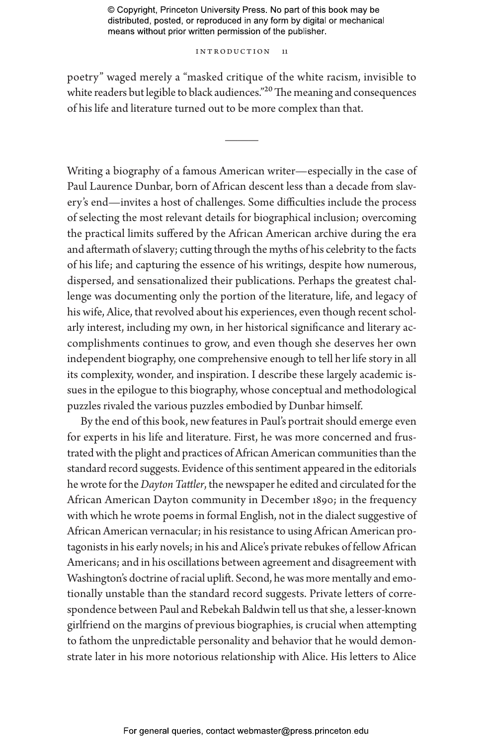#### INTRODUCTION 11

poetry" waged merely a "masked critique of the white racism, invisible to white readers but legible to black audiences."<sup>20</sup> The meaning and consequences of his life and literature turned out to be more complex than that.

———

Writing a biography of a famous American writer—especially in the case of Paul Laurence Dunbar, born of African descent less than a decade from slavery's end—invites a host of challenges. Some difficulties include the process of selecting the most relevant details for biographical inclusion; overcoming the practical limits suffered by the African American archive during the era and aftermath of slavery; cutting through the myths of his celebrity to the facts of his life; and capturing the essence of his writings, despite how numerous, dispersed, and sensationalized their publications. Perhaps the greatest challenge was documenting only the portion of the literature, life, and legacy of his wife, Alice, that revolved about his experiences, even though recent scholarly interest, including my own, in her historical significance and literary accomplishments continues to grow, and even though she deserves her own independent biography, one comprehensive enough to tell her life story in all its complexity, wonder, and inspiration. I describe these largely academic issues in the epilogue to this biography, whose conceptual and methodological puzzles rivaled the various puzzles embodied by Dunbar himself.

By the end of this book, new features in Paul's portrait should emerge even for experts in his life and literature. First, he was more concerned and frustrated with the plight and practices of African American communities than the standard record suggests. Evidence of this sentiment appeared in the editorials he wrote for the *Dayton Tattler*, the newspaper he edited and circulated for the African American Dayton community in December 1890; in the frequency with which he wrote poems in formal English, not in the dialect suggestive of African American vernacular; in his resistance to using African American protagonists in his early novels; in his and Alice's private rebukes of fellow African Americans; and in his oscillations between agreement and disagreement with Washington's doctrine of racial uplift. Second, he was more mentally and emotionally unstable than the standard record suggests. Private letters of correspondence between Paul and Rebekah Baldwin tell us that she, a lesser-known girlfriend on the margins of previous biographies, is crucial when attempting to fathom the unpredictable personality and behavior that he would demonstrate later in his more notorious relationship with Alice. His letters to Alice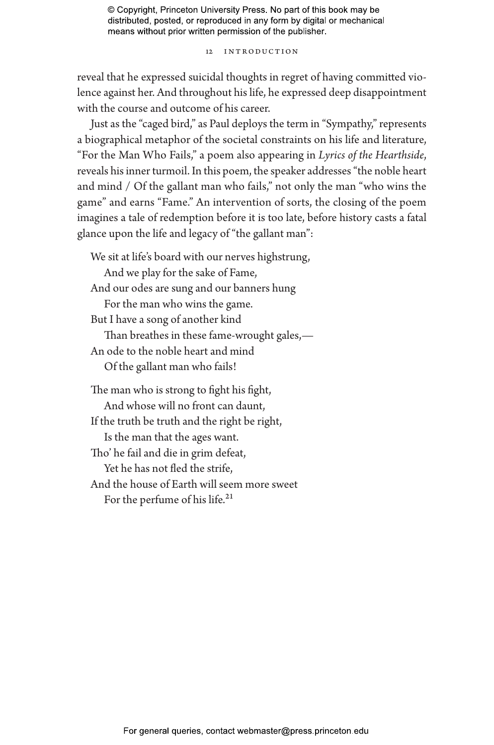12 Introduction

reveal that he expressed suicidal thoughts in regret of having committed violence against her. And throughout his life, he expressed deep disappointment with the course and outcome of his career.

Just as the "caged bird," as Paul deploys the term in "Sympathy," represents a biographical metaphor of the societal constraints on his life and literature, "For the Man Who Fails," a poem also appearing in *Lyrics of the Hearthside*, reveals his inner turmoil. In this poem, the speaker addresses "the noble heart and mind / Of the gallant man who fails," not only the man "who wins the game" and earns "Fame." An intervention of sorts, the closing of the poem imagines a tale of redemption before it is too late, before history casts a fatal glance upon the life and legacy of "the gallant man":

We sit at life's board with our nerves highstrung, And we play for the sake of Fame, And our odes are sung and our banners hung For the man who wins the game. But I have a song of another kind Than breathes in these fame-wrought gales,— An ode to the noble heart and mind Of the gallant man who fails! The man who is strong to fight his fight, And whose will no front can daunt, If the truth be truth and the right be right, Is the man that the ages want. Tho' he fail and die in grim defeat, Yet he has not fled the strife, And the house of Earth will seem more sweet For the perfume of his life.<sup>21</sup>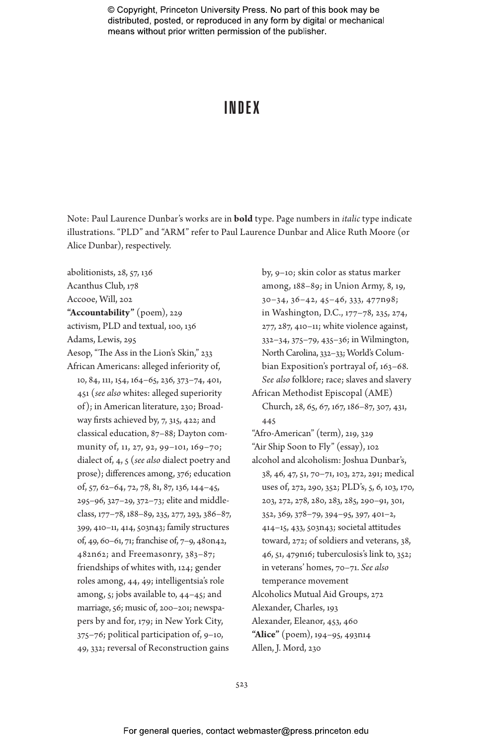## INDEX

Note: Paul Laurence Dunbar's works are in **bold** type. Page numbers in *italic* type indicate illustrations. "PLD" and "ARM" refer to Paul Laurence Dunbar and Alice Ruth Moore (or Alice Dunbar), respectively.

abolitionists, 28, 57, 136 Acanthus Club, 178 Accooe, Will, 202 **"Accountability"** (poem), 229 activism, PLD and textual, 100, 136 Adams, Lewis, 295 Aesop, "The Ass in the Lion's Skin," 233 African Americans: alleged inferiority of, 10, 84, 111, 154, 164–65, 236, 373–74, 401, 451 (*see also* whites: alleged superiority of); in American literature, 230; Broadway firsts achieved by, 7, 315, 422; and classical education, 87–88; Dayton community of, 11, 27, 92, 99–101, 169–70; dialect of, 4, 5 (*see also* dialect poetry and prose); differences among, 376; education of, 57, 62–64, 72, 78, 81, 87, 136, 144–45, 295–96, 327–29, 372–73; elite and middleclass, 177–78, 188–89, 235, 277, 293, 386–87, 399, 410–11, 414, 503n43; family structures of, 49, 60–61, 71; franchise of, 7–9, 480n42, 482n62; and Freemasonry, 383–87; friendships of whites with, 124; gender roles among, 44, 49; intelligentsia's role among, 5; jobs available to, 44–45; and marriage, 56; music of, 200–201; newspapers by and for, 179; in New York City, 375–76; political participation of, 9–10, 49, 332; reversal of Reconstruction gains

by, 9–10; skin color as status marker among, 188–89; in Union Army, 8, 19, 30–34, 36–42, 45–46, 333, 477n98; in Washington, D.C., 177–78, 235, 274, 277, 287, 410–11; white violence against, 332–34, 375–79, 435–36; in Wilmington, North Carolina, 332–33; World's Columbian Exposition's portrayal of, 163–68. *See also* folklore; race; slaves and slavery African Methodist Episcopal (AME) Church, 28, 65, 67, 167, 186–87, 307, 431, 445 "Afro-American" (term), 219, 329 "Air Ship Soon to Fly" (essay), 102 alcohol and alcoholism: Joshua Dunbar's, 38, 46, 47, 51, 70–71, 103, 272, 291; medical uses of, 272, 290, 352; PLD's, 5, 6, 103, 170, 203, 272, 278, 280, 283, 285, 290–91, 301, 352, 369, 378–79, 394–95, 397, 401–2, 414–15, 433, 503n43; societal attitudes toward, 272; of soldiers and veterans, 38, 46, 51, 479n16; tuberculosis's link to, 352; in veterans' homes, 70–71. *See also* temperance movement Alcoholics Mutual Aid Groups, 272 Alexander, Charles, 193 Alexander, Eleanor, 453, 460 **"Alice"** (poem), 194–95, 493n14 Allen, J. Mord, 230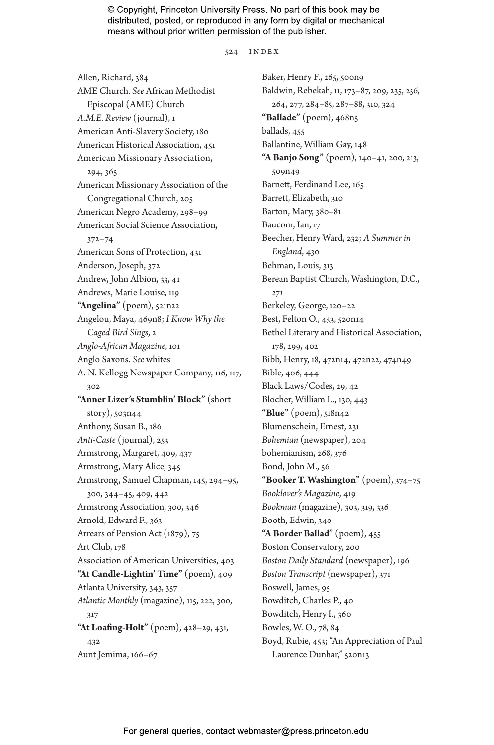524 index

Allen, Richard, 384 AME Church. *See* African Methodist Episcopal (AME) Church *A.M.E. Review* (journal), 1 American Anti-Slavery Society, 180 American Historical Association, 451 American Missionary Association, 294, 365 American Missionary Association of the Congregational Church, 205 American Negro Academy, 298–99 American Social Science Association, 372–74 American Sons of Protection, 431 Anderson, Joseph, 372 Andrew, John Albion, 33, 41 Andrews, Marie Louise, 119 **"Angelina"** (poem), 521n22 Angelou, Maya, 469n8; *I Know Why the Caged Bird Sings*, 2 *Anglo-African Magazine*, 101 Anglo Saxons. *See* whites A. N. Kellogg Newspaper Company, 116, 117, 302 **"Anner Lizer's Stumblin' Block"** (short story), 503n44 Anthony, Susan B., 186 *Anti-Caste* (journal), 253 Armstrong, Margaret, 409, 437 Armstrong, Mary Alice, 345 Armstrong, Samuel Chapman, 145, 294–95, 300, 344–45, 409, 442 Armstrong Association, 300, 346 Arnold, Edward F., 363 Arrears of Pension Act (1879), 75 Art Club, 178 Association of American Universities, 403 **"At Candle-Lightin' Time"** (poem), 409 Atlanta University, 343, 357 *Atlantic Monthly* (magazine), 115, 222, 300, 317 **"At Loafing-Holt"** (poem), 428–29, 431, 432 Aunt Jemima, 166–67

Baker, Henry F., 265, 500n9 Baldwin, Rebekah, 11, 173–87, 209, 235, 256, 264, 277, 284–85, 287–88, 310, 324 **"Ballade"** (poem), 468n5 ballads, 455 Ballantine, William Gay, 148 **"A Banjo Song"** (poem), 140–41, 200, 213, 509n49 Barnett, Ferdinand Lee, 165 Barrett, Elizabeth, 310 Barton, Mary, 380–81 Baucom, Ian, 17 Beecher, Henry Ward, 232; *A Summer in England*, 430 Behman, Louis, 313 Berean Baptist Church, Washington, D.C., *271* Berkeley, George, 120–22 Best, Felton O., 453, 520n14 Bethel Literary and Historical Association, 178, 299, 402 Bibb, Henry, 18, 472n14, 472n22, 474n49 Bible, 406, 444 Black Laws/Codes, 29, 42 Blocher, William L., 130, 443 **"Blue"** (poem), 518n42 Blumenschein, Ernest, 231 *Bohemian* (newspaper), 204 bohemianism, 268, 376 Bond, John M., 56 **"Booker T. Washington"** (poem), 374–75 *Booklover's Magazine*, 419 *Bookman* (magazine), 303, 319, 336 Booth, Edwin, 340 **"A Border Ballad**" (poem), 455 Boston Conservatory, 200 *Boston Daily Standard* (newspaper), 196 *Boston Transcript* (newspaper), 371 Boswell, James, 95 Bowditch, Charles P., 40 Bowditch, Henry I., 360 Bowles, W. O., 78, 84 Boyd, Rubie, 453; "An Appreciation of Paul Laurence Dunbar," 520n13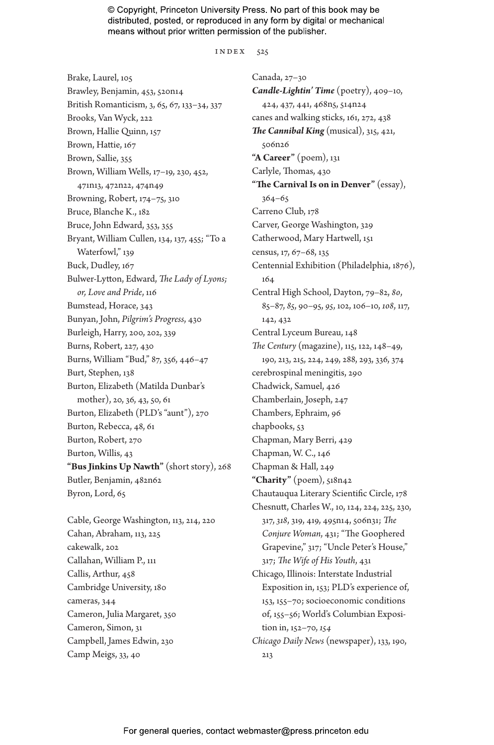index 525

Brake, Laurel, 105 Brawley, Benjamin, 453, 520n14 British Romanticism, 3, 65, 67, 133–34, 337 Brooks, Van Wyck, 222 Brown, Hallie Quinn, 157 Brown, Hattie, 167 Brown, Sallie, 355 Brown, William Wells, 17–19, 230, 452, 471n13, 472n22, 474n49 Browning, Robert, 174–75, 310 Bruce, Blanche K., 182 Bruce, John Edward, 353, 355 Bryant, William Cullen, 134, 137, 455; "To a Waterfowl," 139 Buck, Dudley, 167 Bulwer-Lytton, Edward, *The Lady of Lyons; or, Love and Pride*, 116 Bumstead, Horace, 343 Bunyan, John, *Pilgrim's Progress*, 430 Burleigh, Harry, 200, 202, 339 Burns, Robert, 227, 430 Burns, William "Bud," 87, 356, 446–47 Burt, Stephen, 138 Burton, Elizabeth (Matilda Dunbar's mother), 20, 36, 43, 50, 61 Burton, Elizabeth (PLD's "aunt"), 270 Burton, Rebecca, 48, 61 Burton, Robert, 270 Burton, Willis, 43 **"Bus Jinkins Up Nawth"** (short story), 268 Butler, Benjamin, 482n62 Byron, Lord, 65

Cable, George Washington, 113, 214, 220 Cahan, Abraham, 113, 225 cakewalk, 202 Callahan, William P., 111 Callis, Arthur, 458 Cambridge University, 180 cameras, 344 Cameron, Julia Margaret, 350 Cameron, Simon, 31 Campbell, James Edwin, 230 Camp Meigs, 33, 40

Canada, 27–30 *Candle-Lightin' Time* (poetry), 409–10, 424, 437, 441, 468n5, 514n24 canes and walking sticks, 161, 272, 438 *The Cannibal King* (musical), 315, 421, 506n26 **"A Career"** (poem), 131 Carlyle, Thomas, 430 **"The Carnival Is on in Denver"** (essay), 364–65 Carreno Club, 178 Carver, George Washington, 329 Catherwood, Mary Hartwell, 151 census, 17, 67–68, 135 Centennial Exhibition (Philadelphia, 1876), 164 Central High School, Dayton, 79–82, *80*, 85–87, *85*, 90–95, *95*, 102, 106–10, *108*, 117, 142, 432 Central Lyceum Bureau, 148 *The Century* (magazine), 115, 122, 148–49, 190, 213, 215, 224, 249, 288, 293, 336, 374 cerebrospinal meningitis, 290 Chadwick, Samuel, 426 Chamberlain, Joseph, 247 Chambers, Ephraim, 96 chapbooks, 53 Chapman, Mary Berri, 429 Chapman, W. C., 146 Chapman & Hall, 249 **"Charity"** (poem), 518n42 Chautauqua Literary Scientific Circle, 178 Chesnutt, Charles W., 10, 124, 224, 225, 230, 317, *318*, 319, 419, 495n14, 506n31; *The Conjure Woman*, 431; "The Goophered Grapevine," 317; "Uncle Peter's House," 317; *The Wife of His Youth*, 431 Chicago, Illinois: Interstate Industrial Exposition in, 153; PLD's experience of, 153, 155–70; socioeconomic conditions of, 155–56; World's Columbian Exposition in, 152–70, *154 Chicago Daily News* (newspaper), 133, 190, 213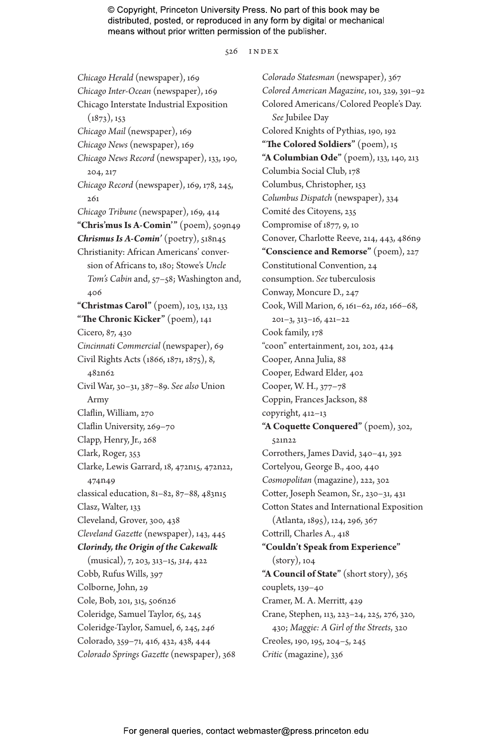526 index

*Chicago Herald* (newspaper), 169 *Chicago Inter-Ocean* (newspaper), 169 Chicago Interstate Industrial Exposition  $(1873), 153$ *Chicago Mail* (newspaper), 169 *Chicago News* (newspaper), 169 *Chicago News Record* (newspaper), 133, 190, 204, 217 *Chicago Record* (newspaper), 169, 178, 245, 261 *Chicago Tribune* (newspaper), 169, 414 **"Chris'mus Is A-Comin'"** (poem), 509n49 *Chrismus Is A-Comin'* (poetry), 518n45 Christianity: African Americans' conversion of Africans to, 180; Stowe's *Uncle Tom's Cabin* and, 57–58; Washington and, 406 **"Christmas Carol"** (poem), 103, 132, 133 **"The Chronic Kicker"** (poem), 141 Cicero, 87, 430 *Cincinnati Commercial* (newspaper), 69 Civil Rights Acts (1866, 1871, 1875), 8, 482n62 Civil War, 30–31, 387–89. *See also* Union Army Claflin, William, 270 Claflin University, 269–70 Clapp, Henry, Jr., 268 Clark, Roger, 353 Clarke, Lewis Garrard, 18, 472n15, 472n22, 474n49 classical education, 81–82, 87–88, 483n15 Clasz, Walter, 133 Cleveland, Grover, 300, 438 *Cleveland Gazette* (newspaper), 143, 445 *Clorindy, the Origin of the Cakewalk* (musical), 7, 203, 313–15, *314*, 422 Cobb, Rufus Wills, 397 Colborne, John, 29 Cole, Bob, 201, 315, 506n26 Coleridge, Samuel Taylor, 65, 245 Coleridge-Taylor, Samuel, 6, 245, *246* Colorado, 359–71, 416, 432, 438, 444 *Colorado Springs Gazette* (newspaper), 368

*Colorado Statesman* (newspaper), 367 *Colored American Magazine*, 101, 329, 391–92 Colored Americans/Colored People's Day. *See* Jubilee Day Colored Knights of Pythias, 190, 192 **"The Colored Soldiers"** (poem), 15 **"A Columbian Ode"** (poem), 133, 140, 213 Columbia Social Club, 178 Columbus, Christopher, 153 *Columbus Dispatch* (newspaper), 334 Comité des Citoyens, 235 Compromise of 1877, 9, 10 Conover, Charlotte Reeve, 214, 443, 486n9 **"Conscience and Remorse"** (poem), 227 Constitutional Convention, 24 consumption. *See* tuberculosis Conway, Moncure D., 247 Cook, Will Marion, 6, 161–62, *162*, 166–68, 201–3, 313–16, 421–22 Cook family, 178 "coon" entertainment, 201, 202, 424 Cooper, Anna Julia, 88 Cooper, Edward Elder, 402 Cooper, W. H., 377–78 Coppin, Frances Jackson, 88 copyright, 412–13 **"A Coquette Conquered"** (poem), 302, 521n22 Corrothers, James David, 340–41, 392 Cortelyou, George B., 400, 440 *Cosmopolitan* (magazine), 222, 302 Cotter, Joseph Seamon, Sr., 230–31, 431 Cotton States and International Exposition (Atlanta, 1895), 124, 296, 367 Cottrill, Charles A., 418 **"Couldn't Speak from Experience"** (story), 104 **"A Council of State"** (short story), 365 couplets, 139–40 Cramer, M. A. Merritt, 429 Crane, Stephen, 113, 223–24, 225, 276, 320, 430; *Maggie: A Girl of the Streets*, 320 Creoles, 190, 195, 204–5, 245 *Critic* (magazine), 336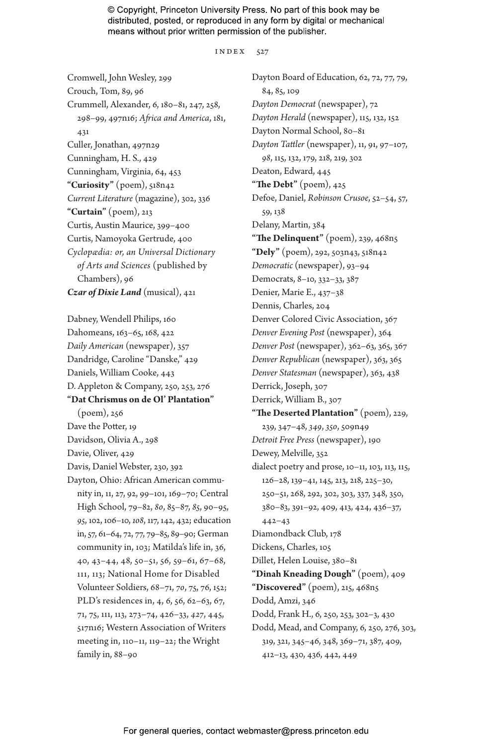index 527

Cromwell, John Wesley, 299 Crouch, Tom, 89, 96 Crummell, Alexander, 6, 180–81, 247, 258, 298–99, 497n16; *Africa and America*, 181, 431 Culler, Jonathan, 497n29 Cunningham, H. S., 429 Cunningham, Virginia, 64, 453 **"Curiosity"** (poem), 518n42 *Current Literature* (magazine), 302, 336 **"Curtain"** (poem), 213 Curtis, Austin Maurice, 399–400 Curtis, Namoyoka Gertrude, 400 *Cyclopædia: or, an Universal Dictionary of Arts and Sciences* (published by Chambers), 96 *Czar of Dixie Land* (musical), 421

Dabney, Wendell Philips, 160 Dahomeans, 163–65, 168, 422 *Daily American* (newspaper), 357 Dandridge, Caroline "Danske," 429 Daniels, William Cooke, 443 D. Appleton & Company, 250, 253, 276 **"Dat Chrismus on de Ol' Plantation"** (poem), 256 Dave the Potter, 19 Davidson, Olivia A., 298 Davie, Oliver, 429 Davis, Daniel Webster, 230, 392 Dayton, Ohio: African American community in, 11, 27, 92, 99–101, 169–70; Central High School, 79–82, *80*, 85–87, *85*, 90–95, *95*, 102, 106–10, *108*, 117, 142, 432; education in, 57, 61–64, 72, 77, 79–85, 89–90; German community in, 103; Matilda's life in, 36, 40, 43–44, 48, 50–51, 56, 59–61, 67–68, 111, 113; National Home for Disabled Volunteer Soldiers, 68–71, *70*, 75, 76, 152; PLD's residences in, 4, 6, 56, 62–63, 67, 71, 75, 111, 113, 273–74, 426–33, *427*, 445, 517n16; Western Association of Writers meeting in, 110–11, 119–22; the Wright family in, 88–90

Dayton Board of Education, 62, 72, 77, 79, 84, 85, 109 *Dayton Democrat* (newspaper), 72 *Dayton Herald* (newspaper), 115, 132, 152 Dayton Normal School, 80–81 *Dayton Tattler* (newspaper), 11, 91, 97–107, *98*, 115, 132, 179, 218, 219, 302 Deaton, Edward, 445 **"The Debt"** (poem), 425 Defoe, Daniel, *Robinson Crusoe*, 52–54, 57, 59, 138 Delany, Martin, 384 **"The Delinquent"** (poem), 239, 468n5 **"Dely"** (poem), 292, 503n43, 518n42 *Democratic* (newspaper), 93–94 Democrats, 8–10, 332–33, 387 Denier, Marie E., 437–38 Dennis, Charles, 204 Denver Colored Civic Association, 367 *Denver Evening Post* (newspaper), 364 *Denver Post* (newspaper), 362–63, 365, 367 *Denver Republican* (newspaper), 363, 365 *Denver Statesman* (newspaper), 363, 438 Derrick, Joseph, 307 Derrick, William B., 307 **"The Deserted Plantation"** (poem), 229, 239, 347–48, *349*, *350*, 509n49 *Detroit Free Press* (newspaper), 190 Dewey, Melville, 352 dialect poetry and prose, 10–11, 103, 113, 115, 126–28, 139–41, 145, 213, 218, 225–30, 250–51, 268, 292, 302, 303, 337, 348, 350, 380–83, 391–92, 409, 413, 424, 436–37, 442–43 Diamondback Club, 178 Dickens, Charles, 105 Dillet, Helen Louise, 380–81 **"Dinah Kneading Dough"** (poem), 409 **"Discovered"** (poem), 215, 468n5 Dodd, Amzi, 346 Dodd, Frank H., 6, 250, 253, 302–3, 430 Dodd, Mead, and Company, 6, 250, 276, 303, 319, 321, 345–46, 348, 369–71, 387, 409, 412–13, 430, 436, 442, 449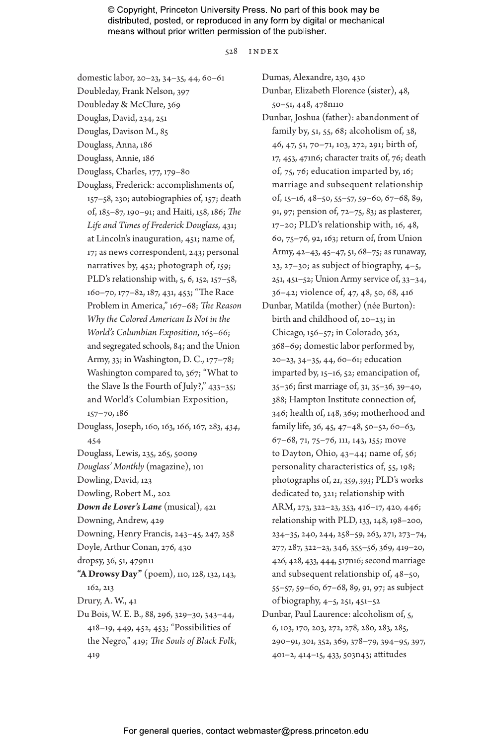528 index

- domestic labor, 20–23, 34–35, 44, 60–61
- Doubleday, Frank Nelson, 397
- Doubleday & McClure, 369
- Douglas, David, 234, 251
- Douglas, Davison M., 85
- Douglass, Anna, 186
- Douglass, Annie, 186
- Douglass, Charles, 177, 179–80
- Douglass, Frederick: accomplishments of, 157–58, 230; autobiographies of, 157; death of, 185–87, 190–91; and Haiti, 158, 186; *The Life and Times of Frederick Douglass*, 431; at Lincoln's inauguration, 451; name of, 17; as news correspondent, 243; personal narratives by, 452; photograph of, *159*; PLD's relationship with, 5, 6, 152, 157–58, 160–70, 177–82, 187, 431, 453; "The Race Problem in America," 167–68; *The Reason Why the Colored American Is Not in the World's Columbian Exposition*, 165–66; and segregated schools, 84; and the Union Army, 33; in Washington, D. C., 177–78; Washington compared to, 367; "What to the Slave Is the Fourth of July?," 433–35; and World's Columbian Exposition, 157–70, 186
- Douglass, Joseph, 160, 163, 166, 167, 283, *434*, 454
- Douglass, Lewis, 235, 265, 500n9
- *Douglass' Monthly* (magazine), 101
- Dowling, David, 123
- Dowling, Robert M., 202
- *Down de Lover's Lane* (musical), 421
- Downing, Andrew, 429
- Downing, Henry Francis, 243–45, 247, 258
- Doyle, Arthur Conan, 276, 430
- dropsy, 36, 51, 479n11
- **"A Drowsy Day"** (poem), 110, 128, 132, 143, 162, 213
- Drury, A. W., 41
- Du Bois, W. E. B., 88, 296, 329–30, 343–44, 418–19, 449, 452, 453; "Possibilities of the Negro," 419; *The Souls of Black Folk*, 419

Dumas, Alexandre, 230, 430

- Dunbar, Elizabeth Florence (sister), 48, 50–51, 448, 478n110
- Dunbar, Joshua (father): abandonment of family by, 51, 55, 68; alcoholism of, 38, 46, 47, 51, 70–71, 103, 272, 291; birth of, 17, 453, 471n6; character traits of, 76; death of, 75, 76; education imparted by, 16; marriage and subsequent relationship of, 15–16, 48–50, 55–57, 59–60, 67–68, 89, 91, 97; pension of, 72–75, 83; as plasterer, 17–20; PLD's relationship with, 16, 48, 60, 75–76, 92, 163; return of, from Union Army, 42–43, 45–47, 51, 68–75; as runaway, 23, 27–30; as subject of biography,  $4-5$ , 251, 451–52; Union Army service of, 33–34, 36–42; violence of, 47, 48, 50, 68, 416
- Dunbar, Matilda (mother) (née Burton): birth and childhood of, 20–23; in Chicago, 156–57; in Colorado, 362, 368–69; domestic labor performed by, 20–23, 34–35, 44, 60–61; education imparted by, 15–16, 52; emancipation of, 35–36; first marriage of, 31, 35–36, 39–40, 388; Hampton Institute connection of, 346; health of, 148, 369; motherhood and family life, 36, 45, 47–48, 50–52, 60–63, 67–68, 71, 75–76, 111, 143, 155; move to Dayton, Ohio, 43–44; name of, 56; personality characteristics of, 55, 198; photographs of, *21*, *359*, *393*; PLD's works dedicated to, 321; relationship with ARM, 273, 322–23, 353, 416–17, 420, 446; relationship with PLD, 133, 148, 198–200, 234–35, 240, 244, 258–59, 263, 271, 273–74, 277, 287, 322–23, 346, 355–56, 369, 419–20, 426, 428, 433, 444, 517n16; second marriage and subsequent relationship of, 48–50, 55–57, 59–60, 67–68, 89, 91, 97; as subject of biography, 4–5, 251, 451–52
- Dunbar, Paul Laurence: alcoholism of, 5, 6, 103, 170, 203, 272, 278, 280, 283, 285, 290–91, 301, 352, 369, 378–79, 394–95, 397, 401–2, 414–15, 433, 503n43; attitudes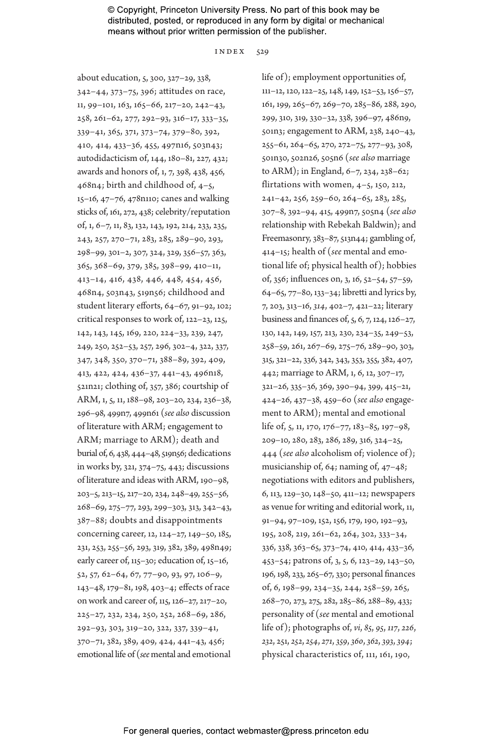index 529

about education, 5, 300, 327–29, 338, 342–44, 373–75, 396; attitudes on race, 11, 99–101, 163, 165–66, 217–20, 242–43, 258, 261–62, 277, 292–93, 316–17, 333–35, 339–41, 365, 371, 373–74, 379–80, 392, 410, 414, 433–36, 455, 497n16, 503n43; autodidacticism of, 144, 180–81, 227, 432; awards and honors of, 1, 7, 398, 438, 456, 468n4; birth and childhood of, 4–5, 15–16, 47–76, 478n110; canes and walking sticks of, 161, 272, 438; celebrity/reputation of, 1, 6–7, 11, 83, 132, 143, 192, 214, 233, 235, 243, 257, 270–71, 283, 285, 289–90, 293, 298–99, 301–2, 307, 324, 329, 356–57, 363, 365, 368–69, 379, 385, 398–99, 410–11, 413–14, 416, 438, 446, 448, 454, 456, 468n4, 503n43, 519n56; childhood and student literary efforts, 64–67, 91–92, 102; critical responses to work of, 122–23, 125, 142, 143, 145, 169, 220, 224–33, 239, 247, 249, 250, 252–53, 257, 296, 302–4, 322, 337, 347, 348, 350, 370–71, 388–89, 392, 409, 413, 422, 424, 436–37, 441–43, 496n18, 521n21; clothing of, 357, 386; courtship of ARM, 1, 5, 11, 188–98, 203–20, 234, 236–38, 296–98, 499n7, 499n61 (*see also* discussion of literature with ARM; engagement to ARM; marriage to ARM); death and burial of, 6, 438, 444–48, 519n56; dedications in works by, 321, 374–75, 443; discussions of literature and ideas with ARM, 190–98, 203–5, 213–15, 217–20, 234, 248–49, 255–56, 268–69, 275–77, 293, 299–303, 313, 342–43, 387–88; doubts and disappointments concerning career, 12, 124–27, 149–50, 185, 231, 253, 255–56, 293, 319, 382, 389, 498n49; early career of, 115–30; education of, 15–16, 52, 57, 62–64, 67, 77–90, 93, 97, 106–9, 143–48, 179–81, 198, 403–4; effects of race on work and career of, 115, 126–27, 217–20, 225–27, 232, 234, 250, 252, 268–69, 286, 292–93, 303, 319–20, 322, 337, 339–41, 370–71, 382, 389, 409, 424, 441–43, 456; emotional life of (*see*mental and emotional

life of); employment opportunities of, 111–12, 120, 122–25, 148, 149, 152–53, 156–57, 161, 199, 265–67, 269–70, 285–86, 288, 290, 299, 310, 319, 330–32, 338, 396–97, 486n9, 501n3; engagement to ARM, 238, 240–43, 255–61, 264–65, 270, 272–75, 277–93, 308, 501n30, 502n26, 505n6 (*see also* marriage to ARM); in England, 6–7, 234, 238–62; flirtations with women, 4–5, 150, 212, 241–42, 256, 259–60, 264–65, 283, 285, 307–8, 392–94, 415, 499n7, 505n4 (*see also* relationship with Rebekah Baldwin); and Freemasonry, 383–87, 513n44; gambling of, 414–15; health of (*see* mental and emotional life of; physical health of); hobbies of, 356; influences on, 3, 16, 52–54, 57–59, 64–65, 77–80, 133–34; libretti and lyrics by, 7, 203, 313–16, *314*, 402–7, 421–22; literary business and finances of, 5, 6, 7, 124, 126–27, 130, 142, 149, 157, 213, 230, 234–35, 249–53, 258–59, 261, 267–69, 275–76, 289–90, 303, 315, 321–22, 336, 342, 343, 353, 355, 382, 407, 442; marriage to ARM, 1, 6, 12, 307–17, 321–26, 335–36, 369, 390–94, 399, 415–21, 424–26, 437–38, 459–60 (*see also* engagement to ARM); mental and emotional life of, 5, 11, 170, 176–77, 183–85, 197–98, 209–10, 280, 283, 286, 289, 316, 324–25, 444 (*see also* alcoholism of; violence of); musicianship of, 64; naming of, 47–48; negotiations with editors and publishers, 6, 113, 129–30, 148–50, 411–12; newspapers as venue for writing and editorial work, 11, 91–94, 97–109, 152, 156, 179, 190, 192–93, 195, 208, 219, 261–62, 264, 302, 333–34, 336, 338, 363–65, 373–74, 410, 414, 433–36, 453–54; patrons of, 3, 5, 6, 123–29, 143–50, 196, 198, 233, 265–67, 330; personal finances of, 6, 198–99, 234–35, 244, 258–59, 265, 268–70, 273, 275, 282, 285–86, 288–89, 433; personality of (*see* mental and emotional life of); photographs of, *vi*, *85*, *95*, *117*, *226*, *232*, 251, *252*, *254*, *271*, *359*, *360*, *362*, *393*, *394*; physical characteristics of, 111, 161, 190,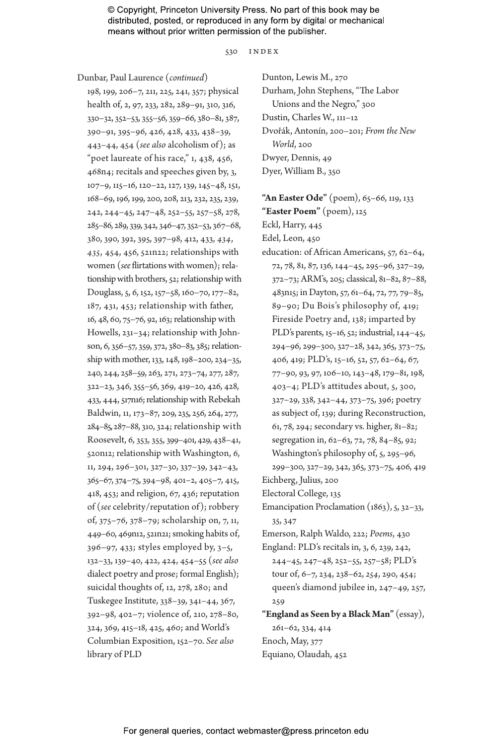530 index

Dunbar, Paul Laurence (*continued*)

198, 199, 206–7, 211, 225, 241, 357; physical health of, 2, 97, 233, 282, 289–91, 310, 316, 330–32, 352–53, 355–56, 359–66, 380–81, 387, 390–91, 395–96, 426, 428, 433, 438–39, 443–44, 454 (*see also* alcoholism of); as "poet laureate of his race," 1, 438, 456, 468n4; recitals and speeches given by, 3, 107–9, 115–16, 120–22, 127, 139, 145–48, 151, 168–69, 196, 199, 200, 208, 213, 232, 235, 239, 242, 244–45, 247–48, 252–55, 257–58, 278, 285–86, 289, 339, 342, 346–47, 352–53, 367–68, 380, 390, 392, 395, 397–98, 412, 433, *434*, *435*, 454, 456, 521n22; relationships with women (*see* flirtations with women); relationship with brothers, 52; relationship with Douglass, 5, 6, 152, 157–58, 160–70, 177–82, 187, 431, 453; relationship with father, 16, 48, 60, 75–76, 92, 163; relationship with Howells, 231–34; relationship with Johnson, 6, 356–57, 359, 372, 380–83, 385; relationship with mother, 133, 148, 198–200, 234–35, 240, 244, 258–59, 263, 271, 273–74, 277, 287, 322–23, 346, 355–56, 369, 419–20, 426, 428, 433, 444, 517n16; relationship with Rebekah Baldwin, 11, 173–87, 209, 235, 256, 264, 277, 284–85, 287–88, 310, 324; relationship with Roosevelt, 6, 353, 355, 399–401, 429, 438–41, 520n12; relationship with Washington, 6, 11, 294, 296–301, 327–30, 337–39, 342–43, 365–67, 374–75, 394–98, 401–2, 405–7, 415, 418, 453; and religion, 67, 436; reputation of (*see* celebrity/reputation of); robbery of, 375–76, 378–79; scholarship on, 7, 11, 449–60, 469n12, 521n21; smoking habits of, 396–97, 433; styles employed by, 3–5, 132–33, 139–40, 422, 424, 454–55 (*see also* dialect poetry and prose; formal English); suicidal thoughts of, 12, 278, 280; and Tuskegee Institute, 338–39, 341–44, 367, 392–98, 402–7; violence of, 210, 278–80, 324, 369, 415–18, 425, 460; and World's Columbian Exposition, 152–70. *See also* library of PLD

Dunton, Lewis M., 270 Durham, John Stephens, "The Labor Unions and the Negro," 300 Dustin, Charles W., 111–12 Dvořák, Antonín, 200–201; *From the New World*, 200 Dwyer, Dennis, 49 Dyer, William B., 350

**"An Easter Ode"** (poem), 65–66, 119, 133

**"Easter Poem"** (poem), 125

Eckl, Harry, 445

Edel, Leon, 450

education: of African Americans, 57, 62–64, 72, 78, 81, 87, 136, 144–45, 295–96, 327–29, 372–73; ARM's, 205; classical, 81–82, 87–88, 483n15; in Dayton, 57, 61–64, 72, 77, 79–85, 89–90; Du Bois's philosophy of, 419; Fireside Poetry and, 138; imparted by PLD's parents, 15–16, 52; industrial, 144–45, 294–96, 299–300, 327–28, 342, 365, 373–75, 406, 419; PLD's, 15–16, 52, 57, 62–64, 67, 77–90, 93, 97, 106–10, 143–48, 179–81, 198, 403–4; PLD's attitudes about, 5, 300, 327–29, 338, 342–44, 373–75, 396; poetry as subject of, 139; during Reconstruction, 61, 78, 294; secondary vs. higher, 81–82; segregation in, 62–63, 72, 78, 84–85, 92; Washington's philosophy of, 5, 295–96,

299–300, 327–29, 342, 365, 373–75, 406, 419 Eichberg, Julius, 200

Electoral College, 135

Emancipation Proclamation  $(1863)$ ,  $5$ ,  $32-33$ , 35, 347

Emerson, Ralph Waldo, 222; *Poems*, 430

England: PLD's recitals in, 3, 6, 239, 242, 244–45, 247–48, 252–55, 257–58; PLD's tour of, 6–7, 234, 238–62, *254*, 290, 454; queen's diamond jubilee in, 247–49, 257, 259

**"England as Seen by a Black Man"** (essay), 261–62, 334, 414 Enoch, May, 377 Equiano, Olaudah, 452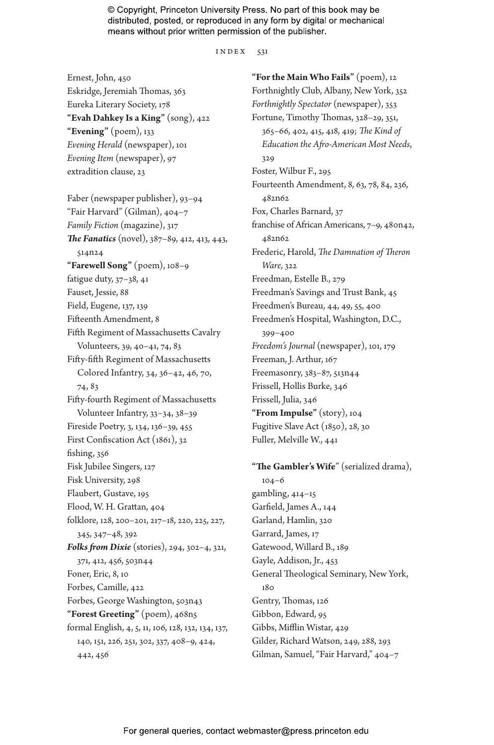$INDEX$  531

Ernest, John, 450 Eskridge, Jeremiah Thomas, 363 Eureka Literary Society, 178 **"Evah Dahkey Is a King"** (song), 422 **"Evening"** (poem), 133 *Evening Herald* (newspaper), 101 *Evening Item* (newspaper), 97 extradition clause, 23

Faber (newspaper publisher), 93–94 "Fair Harvard" (Gilman), 404–7 *Family Fiction* (magazine), 317 *The Fanatics* (novel), 387–89, 412, 413, 443, 514n24 **"Farewell Song"** (poem), 108–9 fatigue duty, 37–38, 41 Fauset, Jessie, 88 Field, Eugene, 137, 139 Fifteenth Amendment, 8 Fifth Regiment of Massachusetts Cavalry Volunteers, 39, 40–41, 74, 83 Fifty-fifth Regiment of Massachusetts Colored Infantry, 34, 36–42, 46, 70, 74, 83 Fifty-fourth Regiment of Massachusetts Volunteer Infantry, 33–34, 38–39 Fireside Poetry, 3, 134, 136–39, 455 First Confiscation Act (1861), 32 fishing, 356 Fisk Jubilee Singers, 127 Fisk University, 298 Flaubert, Gustave, 195 Flood, W. H. Grattan, 404 folklore, 128, 200–201, 217–18, 220, 225, 227, 345, 347–48, 392 *Folks from Dixie* (stories), 294, 302–4, 321, 371, 412, 456, 503n44 Foner, Eric, 8, 10 Forbes, Camille, 422 Forbes, George Washington, 503n43 **"Forest Greeting"** (poem), 468n5 formal English, 4, 5, 11, 106, 128, 132, 134, 137, 140, 151, 226, 251, 302, 337, 408–9, 424, 442, 456

**"For the Main Who Fails"** (poem), 12 Forthnightly Club, Albany, New York, 352 *Forthnightly Spectator* (newspaper), 353 Fortune, Timothy Thomas, 328–29, 351, 365–66, 402, 415, 418, 419; *The Kind of Education the Afro-American Most Needs*, 329 Foster, Wilbur F., 295 Fourteenth Amendment, 8, 63, 78, 84, 236, 482n62 Fox, Charles Barnard, 37 franchise of African Americans, 7–9, 480n42, 482n62 Frederic, Harold, *The Damnation of Theron Ware*, 322 Freedman, Estelle B., 279 Freedman's Savings and Trust Bank, 45 Freedmen's Bureau, 44, 49, 55, 400 Freedmen's Hospital, Washington, D.C., 399–400 *Freedom's Journal* (newspaper), 101, 179 Freeman, J. Arthur, 167 Freemasonry, 383–87, 513n44 Frissell, Hollis Burke, 346 Frissell, Julia, 346 **"From Impulse"** (story), 104 Fugitive Slave Act (1850), 28, 30 Fuller, Melville W., 441

**"The Gambler's Wife**" (serialized drama), 104–6 gambling, 414–15 Garfield, James A., 144 Garland, Hamlin, 320 Garrard, James, 17 Gatewood, Willard B., 189 Gayle, Addison, Jr., 453 General Theological Seminary, New York, 180 Gentry, Thomas, 126 Gibbon, Edward, 95 Gibbs, Mifflin Wistar, 429 Gilder, Richard Watson, 249, 288, 293 Gilman, Samuel, "Fair Harvard," 404–7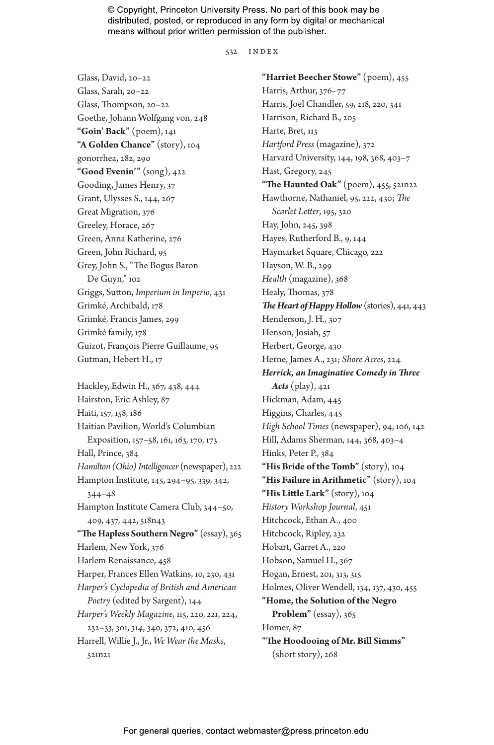532 index

Glass, David, 20–22 Glass, Sarah, 20–22 Glass, Thompson, 20–22 Goethe, Johann Wolfgang von, 248 **"Goin' Back"** (poem), 141 **"A Golden Chance"** (story), 104 gonorrhea, 282, 290 **"Good Evenin'"** (song), 422 Gooding, James Henry, 37 Grant, Ulysses S., 144, 267 Great Migration, 376 Greeley, Horace, 267 Green, Anna Katherine, 276 Green, John Richard, 95 Grey, John S., "The Bogus Baron De Guyn," 102 Griggs, Sutton, *Imperium in Imperio*, 431 Grimké, Archibald, 178 Grimké, Francis James, 299 Grimké family, 178 Guizot, François Pierre Guillaume, 95 Gutman, Hebert H., 17 Hackley, Edwin H., 367, 438, 444 Hairston, Eric Ashley, 87

Haiti, 157, 158, 186 Haitian Pavilion, World's Columbian Exposition, 157–58, 161, 163, 170, 173 Hall, Prince, 384 *Hamilton (Ohio) Intelligencer* (newspaper), 222 Hampton Institute, 145, 294–95, 339, 342, 344–48 Hampton Institute Camera Club, 344–50, 409, 437, 442, 518n43 **"The Hapless Southern Negro"** (essay), 365 Harlem, New York, 376 Harlem Renaissance, 458 Harper, Frances Ellen Watkins, 10, 230, 431 *Harper's Cyclopedia of British and American Poetry* (edited by Sargent), 144 *Harper's Weekly Magazine*, 115, 220, *221*, 224, 232–33, 301, *314*, 340, 372, 410, 456 Harrell, Willie J., Jr., *We Wear the Masks*, 521n21

**"Harriet Beecher Stowe"** (poem), 455 Harris, Arthur, 376–77 Harris, Joel Chandler, 59, 218, 220, 341 Harrison, Richard B., 205 Harte, Bret, 113 *Hartford Press* (magazine), 372 Harvard University, 144, 198, 368, 403–7 Hast, Gregory, 245 **"The Haunted Oak"** (poem), 455, 521n22 Hawthorne, Nathaniel, 95, 222, 430; *The Scarlet Letter*, 195, 320 Hay, John, 245, 398 Hayes, Rutherford B., 9, 144 Haymarket Square, Chicago, 222 Hayson, W. B., 299 *Health* (magazine), 368 Healy, Thomas, 378 *The Heart of Happy Hollow* (stories), 441, 443 Henderson, J. H., 307 Henson, Josiah, 57 Herbert, George, 430 Herne, James A., 231; *Shore Acres*, 224 *Herrick, an Imaginative Comedy in Three Acts* (play), 421 Hickman, Adam, 445 Higgins, Charles, 445 *High School Times* (newspaper), 94, 106, 142 Hill, Adams Sherman, 144, 368, 403–4 Hinks, Peter P., 384 **"His Bride of the Tomb"** (story), 104 **"His Failure in Arithmetic"** (story), 104 **"His Little Lark"** (story), 104 *History Workshop Journal*, 451 Hitchcock, Ethan A., 400 Hitchcock, Ripley, 232 Hobart, Garret A., 220 Hobson, Samuel H., 367 Hogan, Ernest, 201, 313, 315 Holmes, Oliver Wendell, 134, 137, 430, 455 **"Home, the Solution of the Negro Problem"** (essay), 365 Homer, 87 **"The Hoodooing of Mr. Bill Simms"** (short story), 268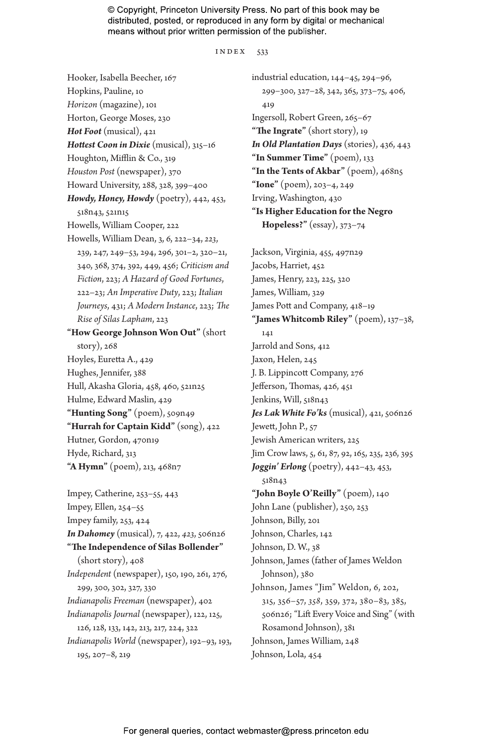#### index 533

Hooker, Isabella Beecher, 167 Hopkins, Pauline, 10 *Horizon* (magazine), 101 Horton, George Moses, 230 *Hot Foot* (musical), 421 *Hottest Coon in Dixie* (musical), 315–16 Houghton, Mifflin & Co., 319 *Houston Post* (newspaper), 370 Howard University, 288, 328, 399–400 *Howdy, Honey, Howdy* (poetry), 442, 453, 518n43, 521n15 Howells, William Cooper, 222 Howells, William Dean, 3, 6, 222–34, *223*, 239, 247, 249–53, 294, 296, 301–2, 320–21, 340, 368, 374, 392, 449, 456; *Criticism and Fiction*, 223; *A Hazard of Good Fortunes*, 222–23; *An Imperative Duty*, 223; *Italian Journeys*, 431; *A Modern Instance*, 223; *The Rise of Silas Lapham*, 223 **"How George Johnson Won Out"** (short story), 268 Hoyles, Euretta A., 429 Hughes, Jennifer, 388 Hull, Akasha Gloria, 458, 460, 521n25 Hulme, Edward Maslin, 429 **"Hunting Song"** (poem), 509n49 **"Hurrah for Captain Kidd"** (song), 422 Hutner, Gordon, 470n19 Hyde, Richard, 313 **"A Hymn"** (poem), 213, 468n7 Impey, Catherine, 253–55, 443 Impey, Ellen, 254–55 Impey family, 253, 424

*In Dahomey* (musical), 7, 422, *423*, 506n26 **"The Independence of Silas Bollender"** (short story), 408 *Independent* (newspaper), 150, 190, 261, 276, 299, 300, 302, 327, 330 *Indianapolis Freeman* (newspaper), 402 *Indianapolis Journal* (newspaper), 122, 125, 126, 128, 133, 142, 213, 217, 224, 322 *Indianapolis World* (newspaper), 192–93, 193, 195, 207–8, 219

industrial education, 144–45, 294–96, 299–300, 327–28, 342, 365, 373–75, 406, 419 Ingersoll, Robert Green, 265–67 **"The Ingrate"** (short story), 19 *In Old Plantation Days* (stories), 436, 443 **"In Summer Time"** (poem), 133 **"In the Tents of Akbar"** (poem), 468n5 **"Ione"** (poem), 203–4, 249 Irving, Washington, 430 **"Is Higher Education for the Negro Hopeless?"** (essay), 373–74

Jackson, Virginia, 455, 497n29 Jacobs, Harriet, 452 James, Henry, 223, 225, 320 James, William, 329 James Pott and Company, 418–19 **"James Whitcomb Riley"** (poem), 137–38, 141 Jarrold and Sons, 412 Jaxon, Helen, 245 J. B. Lippincott Company, 276 Jefferson, Thomas, 426, 451 Jenkins, Will, 518n43 *Jes Lak White Fo'ks* (musical), 421, 506n26 Jewett, John P., 57 Jewish American writers, 225 Jim Crow laws, 5, 61, 87, 92, 165, 235, 236, 395 *Joggin' Erlong* (poetry), 442–43, 453, 518n43 **"John Boyle O'Reilly"** (poem), 140 John Lane (publisher), 250, 253 Johnson, Billy, 201 Johnson, Charles, 142 Johnson, D. W., 38 Johnson, James (father of James Weldon Johnson), 380 Johnson, James "Jim" Weldon, 6, 202, 315, 356–57, *358*, 359, 372, 380–83, 385, 506n26; "Lift Every Voice and Sing" (with Rosamond Johnson), 381 Johnson, James William, 248 Johnson, Lola, 454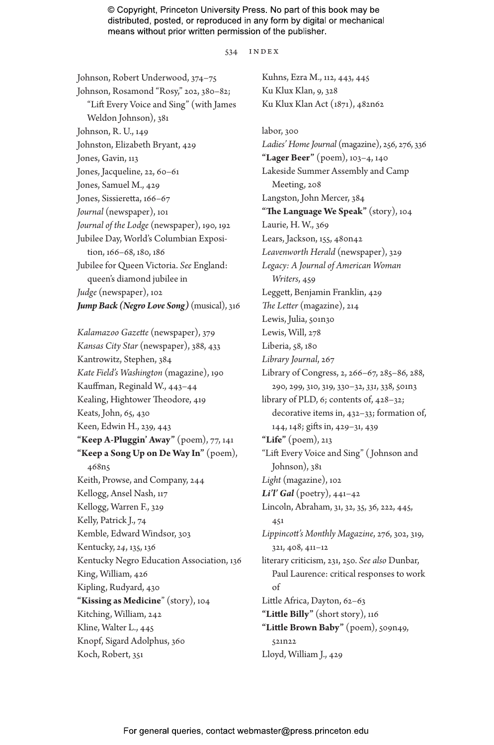534 index

Johnson, Robert Underwood, 374–75 Johnson, Rosamond "Rosy," 202, 380–82; "Lift Every Voice and Sing" (with James Weldon Johnson), 381 Johnson, R. U., 149 Johnston, Elizabeth Bryant, 429 Jones, Gavin, 113 Jones, Jacqueline, 22, 60-61 Jones, Samuel M., 429 Jones, Sissieretta, 166–67 *Journal* (newspaper), 101 *Journal of the Lodge* (newspaper), 190, 192 Jubilee Day, World's Columbian Exposition, 166–68, 180, 186 Jubilee for Queen Victoria. *See* England: queen's diamond jubilee in *Judge* (newspaper), 102 *Jump Back (Negro Love Song)* (musical), 316

*Kalamazoo Gazette* (newspaper), 379 *Kansas City Star* (newspaper), 388, 433 Kantrowitz, Stephen, 384 *Kate Field's Washington* (magazine), 190 Kauffman, Reginald W., 443–44 Kealing, Hightower Theodore, 419 Keats, John, 65, 430 Keen, Edwin H., 239, 443 **"Keep A-Pluggin' Away"** (poem), 77, 141 **"Keep a Song Up on De Way In"** (poem), 468n5 Keith, Prowse, and Company, 244 Kellogg, Ansel Nash, 117 Kellogg, Warren F., 329 Kelly, Patrick J., 74 Kemble, Edward Windsor, 303 Kentucky, *24*, 135, 136 Kentucky Negro Education Association, 136 King, William, 426 Kipling, Rudyard, 430 **"Kissing as Medicine**" (story), 104 Kitching, William, 242 Kline, Walter L., 445 Knopf, Sigard Adolphus, 360 Koch, Robert, 351

Kuhns, Ezra M., 112, 443, 445 Ku Klux Klan, 9, 328 Ku Klux Klan Act (1871), 482n62 labor, 300 *Ladies' Home Journal* (magazine), 256, 276, 336 **"Lager Beer"** (poem), 103–4, 140 Lakeside Summer Assembly and Camp Meeting, 208 Langston, John Mercer, 384 **"The Language We Speak"** (story), 104 Laurie, H. W., 369 Lears, Jackson, 155, 480n42 *Leavenworth Herald* (newspaper), 329 *Legacy: A Journal of American Woman Writers*, 459 Leggett, Benjamin Franklin, 429 *The Letter* (magazine), 214 Lewis, Julia, 501n30 Lewis, Will, 278 Liberia, 58, 180 *Library Journal*, 267 Library of Congress, 2, 266–67, 285–86, 288, 290, 299, 310, 319, 330–32, *331*, 338, 501n3 library of PLD, 6; contents of, 428–32; decorative items in, 432–33; formation of, 144, 148; gifts in, 429–31, 439 **"Life"** (poem), 213 "Lift Every Voice and Sing" ( Johnson and Johnson), 381 *Light* (magazine), 102 *Li'l' Gal* (poetry), 441–42 Lincoln, Abraham, 31, 32, 35, 36, 222, 445, 451 *Lippincott's Monthly Magazine*, 276, 302, 319, 321, 408, 411–12 literary criticism, 231, 250. *See also* Dunbar, Paul Laurence: critical responses to work of Little Africa, Dayton, 62–63 **"Little Billy"** (short story), 116 **"Little Brown Baby"** (poem), 509n49, 521n22 Lloyd, William J., 429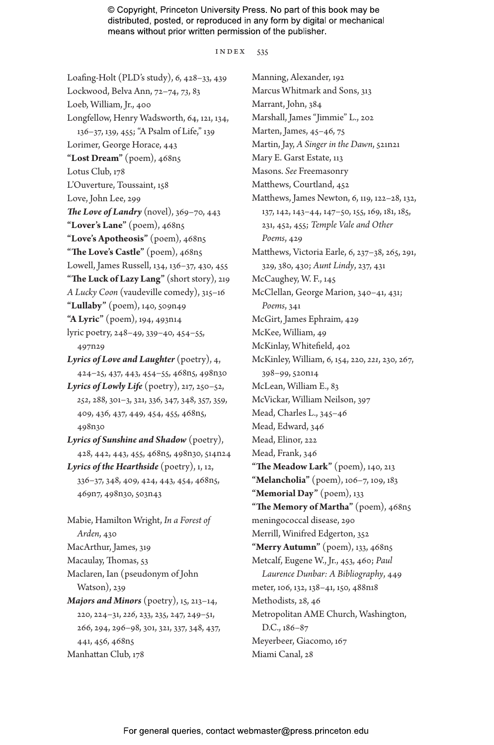index 535

Loafing-Holt (PLD's study), 6, 428–33, 439 Lockwood, Belva Ann, 72–74, *73*, 83 Loeb, William, Jr., 400 Longfellow, Henry Wadsworth, 64, 121, 134, 136–37, 139, 455; "A Psalm of Life," 139 Lorimer, George Horace, 443 **"Lost Dream"** (poem), 468n5 Lotus Club, 178 L'Ouverture, Toussaint, 158 Love, John Lee, 299 *The Love of Landry* (novel), 369–70, 443 **"Lover's Lane"** (poem), 468n5 **"Love's Apotheosis"** (poem), 468n5 **"The Love's Castle"** (poem), 468n5 Lowell, James Russell, 134, 136–37, 430, 455 **"The Luck of Lazy Lang"** (short story), 219 *A Lucky Coon* (vaudeville comedy), 315–16 **"Lullaby"** (poem), 140, 509n49 **"A Lyric"** (poem), 194, 493n14 lyric poetry, 248–49, 339–40, 454–55, 497n29 *Lyrics of Love and Laughter* (poetry), 4, 424–25, 437, 443, 454–55, 468n5, 498n30 *Lyrics of Lowly Life* (poetry), 217, 250–52, *252*, 288, 301–3, 321, 336, 347, 348, 357, 359, 409, 436, 437, 449, 454, 455, 468n5, 498n30 *Lyrics of Sunshine and Shadow* (poetry), 428, 442, 443, 455, 468n5, 498n30, 514n24 *Lyrics of the Hearthside* (poetry), 1, 12, 336–37, 348, 409, 424, 443, 454, 468n5, 469n7, 498n30, 503n43 Mabie, Hamilton Wright, *In a Forest of Arden*, 430 MacArthur, James, 319 Macaulay, Thomas, 53 Maclaren, Ian (pseudonym of John Watson), 239 *Majors and Minors* (poetry), 15, 213–14, 220, 224–31, *226*, 233, 235, 247, 249–51, 266, 294, 296–98, 301, 321, 337, 348, 437, 441, 456, 468n5 Manhattan Club, 178

Manning, Alexander, 192 Marcus Whitmark and Sons, 313 Marrant, John, 384 Marshall, James "Jimmie" L., 202 Marten, James, 45–46, 75 Martin, Jay, *A Singer in the Dawn*, 521n21 Mary E. Garst Estate, 113 Masons. *See* Freemasonry Matthews, Courtland, 452 Matthews, James Newton, 6, 119, 122–28, 132, 137, 142, 143–44, 147–50, 155, 169, 181, 185, 231, 452, 455; *Temple Vale and Other Poems*, 429 Matthews, Victoria Earle, 6, 237–38, 265, 291, 329, 380, 430; *Aunt Lindy*, 237, 431 McCaughey, W. F., 145 McClellan, George Marion, 340–41, 431; *Poems*, 341 McGirt, James Ephraim, 429 McKee, William, 49 McKinlay, Whitefield, 402 McKinley, William, 6, 154, 220, *221*, 230, 267, 398–99, 520n14 McLean, William E., 83 McVickar, William Neilson, 397 Mead, Charles L., 345–46 Mead, Edward, 346 Mead, Elinor, 222 Mead, Frank, 346 **"The Meadow Lark"** (poem), 140, 213 **"Melancholia"** (poem), 106–7, 109, 183 **"Memorial Day"** (poem), 133 **"The Memory of Martha"** (poem), 468n5 meningococcal disease, 290 Merrill, Winifred Edgerton, 352 **"Merry Autumn"** (poem), 133, 468n5 Metcalf, Eugene W., Jr., 453, 460; *Paul Laurence Dunbar: A Bibliography*, 449 meter, 106, 132, 138–41, 150, 488n18 Methodists, 28, 46 Metropolitan AME Church, Washington, D.C., 186–87 Meyerbeer, Giacomo, 167 Miami Canal, 28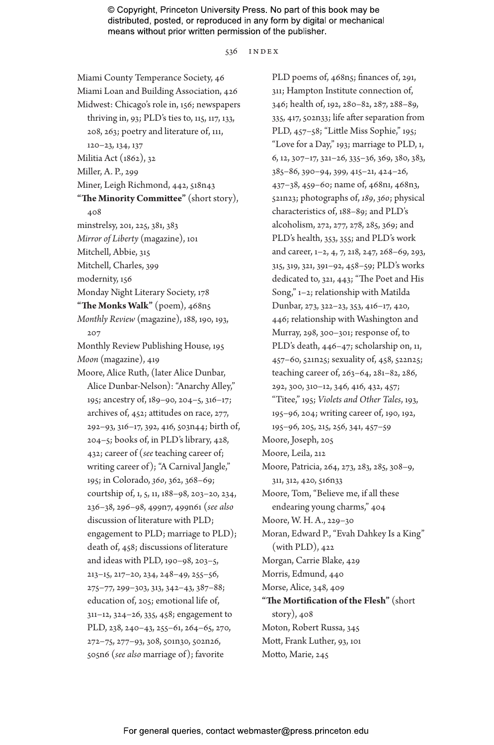536 index

Miami County Temperance Society, 46 Miami Loan and Building Association, 426 Midwest: Chicago's role in, 156; newspapers thriving in, 93; PLD's ties to, 115, 117, 133, 208, 263; poetry and literature of, 111, 120–23, 134, 137 Militia Act (1862), 32 Miller, A. P., 299 Miner, Leigh Richmond, 442, 518n43 **"The Minority Committee"** (short story), 408 minstrelsy, 201, 225, 381, 383 *Mirror of Liberty* (magazine), 101 Mitchell, Abbie, 315 Mitchell, Charles, 399 modernity, 156 Monday Night Literary Society, 178 **"The Monks Walk"** (poem), 468n5 *Monthly Review* (magazine), 188, 190, 193, 207 Monthly Review Publishing House, 195 *Moon* (magazine), 419 Moore, Alice Ruth, (later Alice Dunbar, Alice Dunbar-Nelson): "Anarchy Alley," 195; ancestry of, 189–90, 204–5, 316–17; archives of, 452; attitudes on race, 277, 292–93, 316–17, 392, 416, 503n44; birth of, 204–5; books of, in PLD's library, 428, 432; career of (*see* teaching career of; writing career of); "A Carnival Jangle," 195; in Colorado, *360*, 362, 368–69; courtship of, 1, 5, 11, 188–98, 203–20, 234, 236–38, 296–98, 499n7, 499n61 (*see also* discussion of literature with PLD; engagement to PLD; marriage to PLD); death of, 458; discussions of literature and ideas with PLD, 190–98, 203–5, 213–15, 217–20, 234, 248–49, 255–56, 275–77, 299–303, 313, 342–43, 387–88; education of, 205; emotional life of, 311–12, 324–26, 335, 458; engagement to PLD, 238, 240–43, 255–61, 264–65, 270, 272–75, 277–93, 308, 501n30, 502n26, 505n6 (*see also* marriage of); favorite

PLD poems of, 468n5; finances of, 291, 311; Hampton Institute connection of, 346; health of, 192, 280–82, 287, 288–89, 335, 417, 502n33; life after separation from PLD, 457–58; "Little Miss Sophie," 195; "Love for a Day," 193; marriage to PLD, 1, 6, 12, 307–17, 321–26, 335–36, 369, 380, 383, 385–86, 390–94, 399, 415–21, 424–26, 437–38, 459–60; name of, 468n1, 468n3, 521n23; photographs of, *189*, *360*; physical characteristics of, 188–89; and PLD's alcoholism, 272, 277, 278, 285, 369; and PLD's health, 353, 355; and PLD's work and career, 1–2, 4, 7, 218, 247, 268–69, 293, 315, 319, 321, 391–92, 458–59; PLD's works dedicated to, 321, 443; "The Poet and His Song," 1–2; relationship with Matilda Dunbar, 273, 322–23, 353, 416–17, 420, 446; relationship with Washington and Murray, 298, 300–301; response of, to PLD's death, 446–47; scholarship on, 11, 457–60, 521n25; sexuality of, 458, 522n25; teaching career of, 263–64, 281–82, 286, 292, 300, 310–12, 346, 416, 432, 457; "Titee," 195; *Violets and Other Tales*, 193, 195–96, 204; writing career of, 190, 192, 195–96, 205, 215, 256, 341, 457–59 Moore, Joseph, 205 Moore, Leila, 212 Moore, Patricia, 264, 273, 283, 285, 308–9, 311, 312, 420, 516n33 Moore, Tom, "Believe me, if all these endearing young charms," 404 Moore, W. H. A., 229–30 Moran, Edward P., "Evah Dahkey Is a King" (with PLD), 422 Morgan, Carrie Blake, 429 Morris, Edmund, 440 Morse, Alice, 348, 409 **"The Mortification of the Flesh"** (short story), 408 Moton, Robert Russa, 345 Mott, Frank Luther, 93, 101 Motto, Marie, 245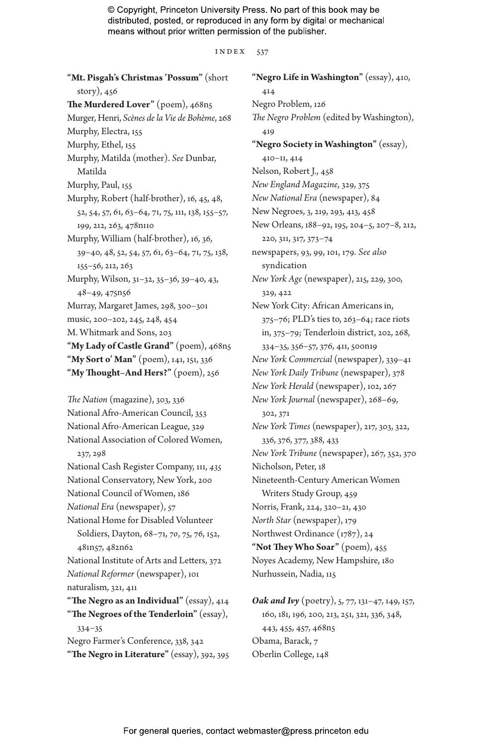index 537

| "Mt. Pisgah's Christmas 'Possum" (short                              |
|----------------------------------------------------------------------|
| story), 456                                                          |
| The Murdered Lover" (poem), 468n5                                    |
| Murger, Henri, Scènes de la Vie de Bohème, 268                       |
| Murphy, Electra, 155                                                 |
| Murphy, Ethel, 155                                                   |
| Murphy, Matilda (mother). See Dunbar,                                |
| Matilda                                                              |
| Murphy, Paul, 155                                                    |
| Murphy, Robert (half-brother), 16, 45, 48,                           |
| 52, 54, 57, 61, 63-64, 71, 75, 111, 138, 155-57,                     |
| 199, 212, 263, 478n110                                               |
| Murphy, William (half-brother), 16, 36,                              |
| 39-40, 48, 52, 54, 57, 61, 63-64, 71, 75, 138,                       |
| 155-56, 212, 263                                                     |
| Murphy, Wilson, 31-32, 35-36, 39-40, 43,                             |
| 48-49, 475n56                                                        |
| Murray, Margaret James, 298, 300-301                                 |
| music, 200-202, 245, 248, 454                                        |
| M. Whitmark and Sons, 203                                            |
| "My Lady of Castle Grand" (poem), 468n5                              |
| "My Sort o' Man" (poem), 141, 151, 336                               |
| "My Thought-And Hers?" (poem), 256                                   |
|                                                                      |
|                                                                      |
| The Nation (magazine), 303, 336                                      |
| National Afro-American Council, 353                                  |
| National Afro-American League, 329                                   |
| National Association of Colored Women,                               |
| 237, 298                                                             |
| National Cash Register Company, 111, 435                             |
| National Conservatory, New York, 200                                 |
| National Council of Women, 186                                       |
| National Era (newspaper), 57<br>National Home for Disabled Volunteer |
|                                                                      |
| Soldiers, Dayton, 68-71, 70, 75, 76, 152,<br>481n57, 482n62          |
|                                                                      |
| National Institute of Arts and Letters, 372                          |
| National Reformer (newspaper), 101<br>naturalism, 321, 411           |
| "The Negro as an Individual" (essay), 414                            |
| "The Negroes of the Tenderloin" (essay),                             |
| $334 - 35$                                                           |
| Negro Farmer's Conference, 338, 342                                  |

**"Negro Life in Washington"** (essay), 410, 414 Negro Problem, 126 *The Negro Problem* (edited by Washington), 419 **"Negro Society in Washington"** (essay), 410–11, 414 Nelson, Robert J., 458 *New England Magazine*, 329, 375 *New National Era* (newspaper), 84 New Negroes, 3, 219, 293, 413, 458 New Orleans, 188–92, 195, 204–5, 207–8, 212, 220, 311, 317, 373–74 newspapers, 93, 99, 101, 179. *See also* syndication *New York Age* (newspaper), 215, 229, 300, 329, 422 New York City: African Americans in, 375–76; PLD's ties to, 263–64; race riots in, 375–79; Tenderloin district, 202, 268, 334–35, 356–57, 376, 411, 500n19 *New York Commercial* (newspaper), 339–41 *New York Daily Tribune* (newspaper), 378 *New York Herald* (newspaper), 102, 267 *New York Journal* (newspaper), 268–69, 302, 371 *New York Times* (newspaper), 217, 303, 322, 336, 376, 377, 388, 433 *New York Tribune* (newspaper), 267, 352, 370 Nicholson, Peter, 18 Nineteenth-Century American Women Writers Study Group, 459 Norris, Frank, 224, 320–21, 430 *North Star* (newspaper), 179 Northwest Ordinance (1787), 24 **"Not They Who Soar"** (poem), 455 Noyes Academy, New Hampshire, 180 Nurhussein, Nadia, 115

*Oak and Ivy* (poetry), 5, 77, 131–47, 149, 157, 160, 181, 196, 200, 213, 251, 321, 336, 348, 443, 455, 457, 468n5 Obama, Barack, 7 Oberlin College, 148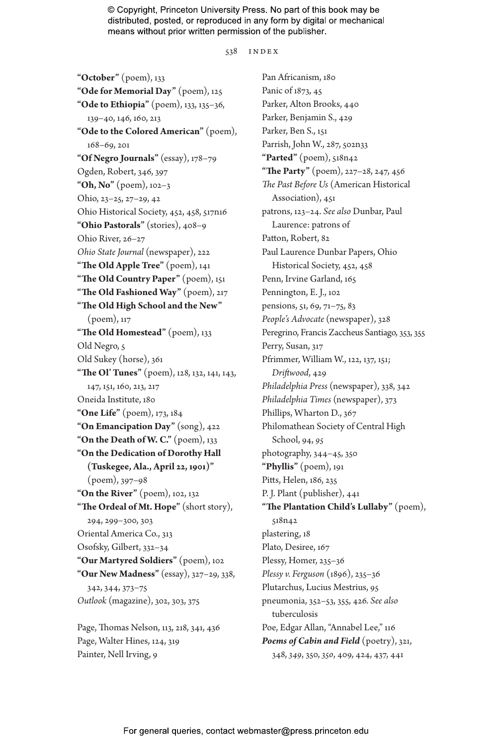538 index

**"October"** (poem), 133 **"Ode for Memorial Day"** (poem), 125 **"Ode to Ethiopia"** (poem), 133, 135–36, 139–40, 146, 160, 213 **"Ode to the Colored American"** (poem), 168–69, 201 **"Of Negro Journals"** (essay), 178–79 Ogden, Robert, 346, 397 **"Oh, No"** (poem), 102–3 Ohio, 23–25, 27–29, 42 Ohio Historical Society, 452, 458, 517n16 **"Ohio Pastorals"** (stories), 408–9 Ohio River, 26–27 *Ohio State Journal* (newspaper), 222 **"The Old Apple Tree"** (poem), 141 **"The Old Country Paper"** (poem), 151 **"The Old Fashioned Way"** (poem), 217 **"The Old High School and the New"** (poem), 117 **"The Old Homestead"** (poem), 133 Old Negro, 5 Old Sukey (horse), 361 **"The Ol' Tunes"** (poem), 128, 132, 141, 143, 147, 151, 160, 213, 217 Oneida Institute, 180 **"One Life"** (poem), 173, 184 **"On Emancipation Day"** (song), 422 **"On the Death of W. C."** (poem), 133 **"On the Dedication of Dorothy Hall (Tuskegee, Ala., April 22, 1901)"** (poem), 397–98 **"On the River"** (poem), 102, 132 **"The Ordeal of Mt. Hope"** (short story), 294, 299–300, 303 Oriental America Co., 313 Osofsky, Gilbert, 332–34 **"Our Martyred Soldiers"** (poem), 102 **"Our New Madness"** (essay), 327–29, 338, 342, 344, 373–75 *Outlook* (magazine), 302, 303, 375

Page, Thomas Nelson, 113, 218, 341, 436 Page, Walter Hines, 124, 319 Painter, Nell Irving, 9

Pan Africanism, 180 Panic of 1873, 45 Parker, Alton Brooks, 440 Parker, Benjamin S., 429 Parker, Ben S., 151 Parrish, John W., 287, 502n33 **"Parted"** (poem), 518n42 **"The Party"** (poem), 227–28, 247, 456 *The Past Before Us* (American Historical Association), 451 patrons, 123–24. *See also* Dunbar, Paul Laurence: patrons of Patton, Robert, 82 Paul Laurence Dunbar Papers, Ohio Historical Society, 452, 458 Penn, Irvine Garland, 165 Pennington, E. J., 102 pensions, 51, 69, 71–75, 83 *People's Advocate* (newspaper), 328 Peregrino, Francis Zaccheus Santiago, 353, 355 Perry, Susan, 317 Pfrimmer, William W., 122, 137, 151; *Driftwood*, 429 *Philadelphia Press* (newspaper), 338, 342 *Philadelphia Times* (newspaper), 373 Phillips, Wharton D., 367 Philomathean Society of Central High School, 94, *95* photography, 344–45, 350 **"Phyllis"** (poem), 191 Pitts, Helen, 186, 235 P. J. Plant (publisher), 441 **"The Plantation Child's Lullaby"** (poem), 518n42 plastering, 18 Plato, Desiree, 167 Plessy, Homer, 235–36 *Plessy v. Ferguson* (1896), 235–36 Plutarchus, Lucius Mestrius, 95 pneumonia, 352–53, 355, 426. *See also* tuberculosis Poe, Edgar Allan, "Annabel Lee," 116 *Poems of Cabin and Field* (poetry), 321, 348, *349*, 350, *350*, 409, 424, 437, 441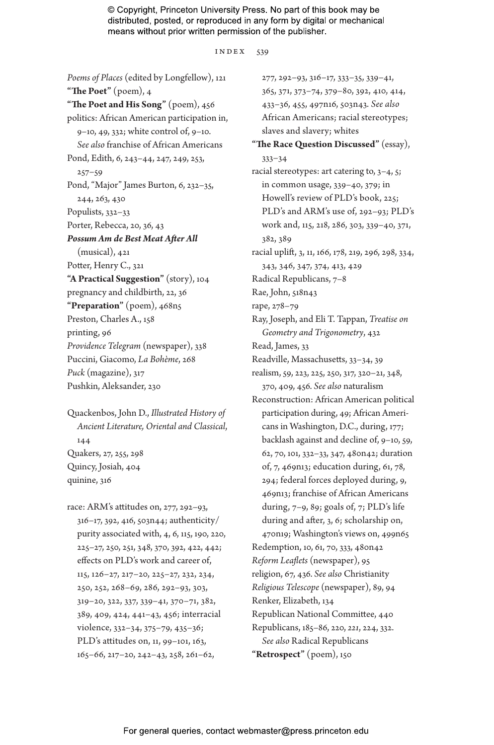index 539

*Poems of Places* (edited by Longfellow), 121 **"The Poet"** (poem), 4 **"The Poet and His Song"** (poem), 456 politics: African American participation in, 9–10, 49, 332; white control of, 9–10. *See also* franchise of African Americans Pond, Edith, 6, 243–44, 247, 249, 253,  $257 - 59$ Pond, "Major" James Burton, 6, 232–35, 244, 263, 430 Populists, 332–33 Porter, Rebecca, 20, 36, 43 *Possum Am de Best Meat After All* (musical), 421 Potter, Henry C., 321 **"A Practical Suggestion"** (story), 104 pregnancy and childbirth, 22, 36 **"Preparation"** (poem), 468n5 Preston, Charles A., 158 printing, 96 *Providence Telegram* (newspaper), 338 Puccini, Giacomo, *La Bohème*, 268 *Puck* (magazine), 317 Pushkin, Aleksander, 230

Quackenbos, John D., *Illustrated History of Ancient Literature, Oriental and Classical*, 144 Quakers, 27, 255, 298 Quincy, Josiah, 404 quinine, 316

race: ARM's attitudes on, 277, 292–93, 316–17, 392, 416, 503n44; authenticity/ purity associated with, 4, 6, 115, 190, 220, 225–27, 250, 251, 348, 370, 392, 422, 442; effects on PLD's work and career of, 115, 126–27, 217–20, 225–27, 232, 234, 250, 252, 268–69, 286, 292–93, 303, 319–20, 322, 337, 339–41, 370–71, 382, 389, 409, 424, 441–43, 456; interracial violence, 332–34, 375–79, 435–36; PLD's attitudes on, 11, 99–101, 163, 165–66, 217–20, 242–43, 258, 261–62,

277, 292–93, 316–17, 333–35, 339–41, 365, 371, 373–74, 379–80, 392, 410, 414, 433–36, 455, 497n16, 503n43. *See also* African Americans; racial stereotypes; slaves and slavery; whites **"The Race Question Discussed"** (essay), 333–34 racial stereotypes: art catering to, 3–4, 5; in common usage, 339–40, 379; in Howell's review of PLD's book, 225; PLD's and ARM's use of, 292–93; PLD's work and, 115, 218, 286, 303, 339–40, 371, 382, 389 racial uplift, 3, 11, 166, 178, 219, 296, 298, 334, 343, 346, 347, 374, 413, 429 Radical Republicans, 7–8 Rae, John, 518n43 rape, 278–79 Ray, Joseph, and Eli T. Tappan, *Treatise on Geometry and Trigonometry*, 432 Read, James, 33 Readville, Massachusetts, 33–34, 39 realism, 59, 223, 225, 250, 317, 320–21, 348, 370, 409, 456. *See also* naturalism Reconstruction: African American political participation during, 49; African Americans in Washington, D.C., during, 177; backlash against and decline of, 9–10, 59, 62, 70, 101, 332–33, 347, 480n42; duration of, 7, 469n13; education during, 61, 78, 294; federal forces deployed during, 9, 469n13; franchise of African Americans during, 7–9, 89; goals of, 7; PLD's life during and after, 3, 6; scholarship on, 470n19; Washington's views on, 499n65 Redemption, 10, 61, 70, 333, 480n42 *Reform Leaflets* (newspaper), 95 religion, 67, 436. *See also* Christianity *Religious Telescope* (newspaper), 89, 94 Renker, Elizabeth, 134 Republican National Committee, 440 Republicans, 185–86, 220, *221*, 224, 332. *See also* Radical Republicans **"Retrospect"** (poem), 150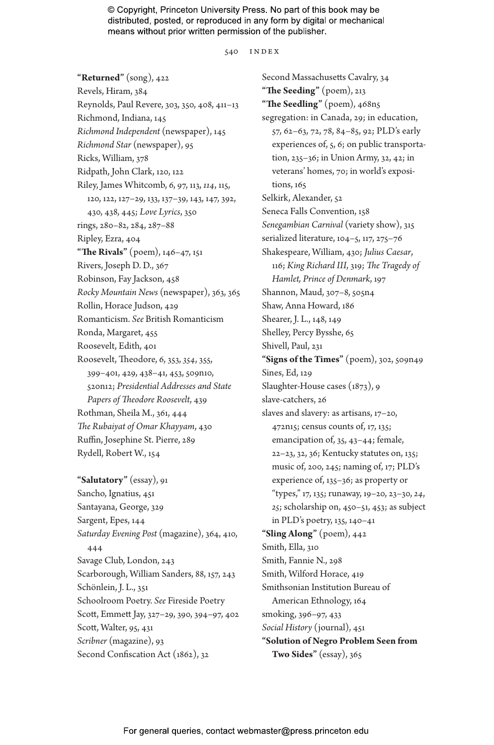540 INDEX

**"Returned"** (song), 422 Revels, Hiram, 384 Reynolds, Paul Revere, 303, 350, 408, 411–13 Richmond, Indiana, 145 *Richmond Independent* (newspaper), 145 *Richmond Star* (newspaper), 95 Ricks, William, 378 Ridpath, John Clark, 120, 122 Riley, James Whitcomb, 6, 97, 113, *114*, 115, 120, 122, 127–29, 133, 137–39, 143, 147, 392, 430, 438, 445; *Love Lyrics*, 350 rings, 280–82, 284, 287–88 Ripley, Ezra, 404 **"The Rivals"** (poem), 146–47, 151 Rivers, Joseph D. D., 367 Robinson, Fay Jackson, 458 *Rocky Mountain News* (newspaper), 363, 365 Rollin, Horace Judson, 429 Romanticism. *See* British Romanticism Ronda, Margaret, 455 Roosevelt, Edith, 401 Roosevelt, Theodore, 6, 353, *354*, 355, 399–401, 429, 438–41, 453, 509n10, 520n12; *Presidential Addresses and State Papers of Theodore Roosevelt*, 439 Rothman, Sheila M., 361, 444 *The Rubaiyat of Omar Khayyam*, 430 Ruffin, Josephine St. Pierre, 289 Rydell, Robert W., 154

**"Salutatory"** (essay), 91 Sancho, Ignatius, 451 Santayana, George, 329 Sargent, Epes, 144 *Saturday Evening Post* (magazine), 364, 410, 444 Savage Club, London, 243 Scarborough, William Sanders, 88, 157, 243 Schönlein, J. L., 351 Schoolroom Poetry. *See* Fireside Poetry Scott, Emmett Jay, 327–29, 390, 394–97, 402 Scott, Walter, 95, 431 *Scribner* (magazine), 93 Second Confiscation Act (1862), 32

Second Massachusetts Cavalry, 34 **"The Seeding"** (poem), 213 **"The Seedling"** (poem), 468n5 segregation: in Canada, 29; in education, 57, 62–63, 72, 78, 84–85, 92; PLD's early experiences of, 5, 6; on public transportation, 235–36; in Union Army, 32, 42; in veterans' homes, 70; in world's expositions, 165 Selkirk, Alexander, 52 Seneca Falls Convention, 158 *Senegambian Carnival* (variety show), 315 serialized literature, 104–5, 117, 275–76 Shakespeare, William, 430; *Julius Caesar*, 116; *King Richard III*, 319; *The Tragedy of Hamlet, Prince of Denmark*, 197 Shannon, Maud, 307–8, 505n4 Shaw, Anna Howard, 186 Shearer, J. L., 148, 149 Shelley, Percy Bysshe, 65 Shivell, Paul, 231 **"Signs of the Times"** (poem), 302, 509n49 Sines, Ed, 129 Slaughter-House cases (1873), 9 slave-catchers, 26 slaves and slavery: as artisans, 17–20, 472n15; census counts of, 17, 135; emancipation of, 35, 43–44; female, 22–23, 32, 36; Kentucky statutes on, 135; music of, 200, 245; naming of, 17; PLD's experience of, 135–36; as property or "types," 17, 135; runaway, 19–20, 23–30, *24*, *25*; scholarship on, 450–51, 453; as subject in PLD's poetry, 135, 140–41 **"Sling Along"** (poem), 442 Smith, Ella, 310 Smith, Fannie N., 298 Smith, Wilford Horace, 419 Smithsonian Institution Bureau of American Ethnology, 164 smoking, 396–97, 433 *Social History* (journal), 451 **"Solution of Negro Problem Seen from Two Sides"** (essay), 365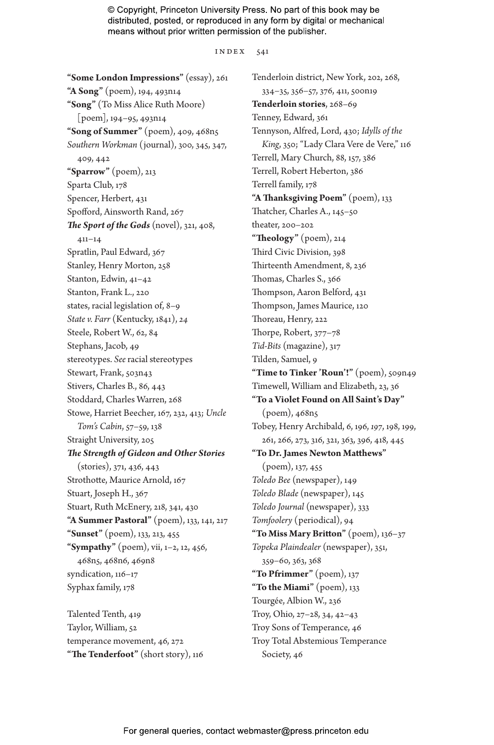index 541

**"Some London Impressions"** (essay), 261 **"A Song"** (poem), 194, 493n14 **"Song"** (To Miss Alice Ruth Moore) [poem], 194–95, 493n14 **"Song of Summer"** (poem), 409, 468n5 *Southern Workman* (journal), 300, 345, 347, 409, 442 **"Sparrow"** (poem), 213 Sparta Club, 178 Spencer, Herbert, 431 Spofford, Ainsworth Rand, 267 *The Sport of the Gods* (novel), 321, 408, 411–14 Spratlin, Paul Edward, 367 Stanley, Henry Morton, 258 Stanton, Edwin, 41–42 Stanton, Frank L., 220 states, racial legislation of, 8–9 *State v. Farr* (Kentucky, 1841), *24* Steele, Robert W., 62, 84 Stephans, Jacob, 49 stereotypes. *See* racial stereotypes Stewart, Frank, 503n43 Stivers, Charles B., 86, 443 Stoddard, Charles Warren, 268 Stowe, Harriet Beecher, 167, 232, 413; *Uncle Tom's Cabin*, 57–59, 138 Straight University, 205 *The Strength of Gideon and Other Stories* (stories), 371, 436, 443 Strothotte, Maurice Arnold, 167 Stuart, Joseph H., 367 Stuart, Ruth McEnery, 218, 341, 430 **"A Summer Pastoral"** (poem), 133, 141, 217 **"Sunset"** (poem), 133, 213, 455 **"Sympathy"** (poem), vii, 1–2, 12, 456, 468n5, 468n6, 469n8 syndication, 116–17 Syphax family, 178

Talented Tenth, 419 Taylor, William, 52 temperance movement, 46, 272 **"The Tenderfoot"** (short story), 116

Tenderloin district, New York, 202, 268, 334–35, 356–57, 376, 411, 500n19 **Tenderloin stories**, 268–69 Tenney, Edward, 361 Tennyson, Alfred, Lord, 430; *Idylls of the King*, 350; "Lady Clara Vere de Vere," 116 Terrell, Mary Church, 88, 157, 386 Terrell, Robert Heberton, 386 Terrell family, 178 **"A Thanksgiving Poem"** (poem), 133 Thatcher, Charles A., 145–50 theater, 200–202 **"Theology"** (poem), 214 Third Civic Division, 398 Thirteenth Amendment, 8, 236 Thomas, Charles S., 366 Thompson, Aaron Belford, 431 Thompson, James Maurice, 120 Thoreau, Henry, 222 Thorpe, Robert, 377–78 *Tid-Bits* (magazine), 317 Tilden, Samuel, 9 "Time to Tinker 'Roun'!" (poem), 509n49 Timewell, William and Elizabeth, 23, 36 **"To a Violet Found on All Saint's Day"** (poem), 468n5 Tobey, Henry Archibald, 6, 196, *197*, 198, 199, 261, 266, 273, 316, 321, 363, 396, 418, 445 **"To Dr. James Newton Matthews"** (poem), 137, 455 *Toledo Bee* (newspaper), 149 *Toledo Blade* (newspaper), 145 *Toledo Journal* (newspaper), 333 *Tomfoolery* (periodical), 94 **"To Miss Mary Britton"** (poem), 136–37 *Topeka Plaindealer* (newspaper), 351, 359–60, 363, 368 **"To Pfrimmer"** (poem), 137 **"To the Miami"** (poem), 133 Tourgée, Albion W., 236 Troy, Ohio, 27–28, 34, 42–43 Troy Sons of Temperance, 46 Troy Total Abstemious Temperance Society, 46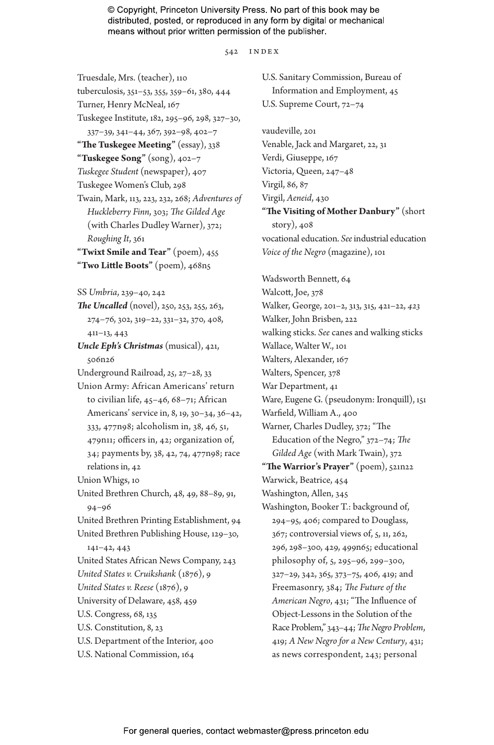542 INDEX

Truesdale, Mrs. (teacher), 110 tuberculosis, 351–53, 355, 359–61, 380, 444 Turner, Henry McNeal, 167 Tuskegee Institute, 182, 295–96, 298, 327–30, 337–39, 341–44, 367, 392–98, 402–7 **"The Tuskegee Meeting"** (essay), 338 **"Tuskegee Song"** (song), 402–7 *Tuskegee Student* (newspaper), 407 Tuskegee Women's Club, 298 Twain, Mark, 113, 223, 232, 268; *Adventures of Huckleberry Finn*, 303; *The Gilded Age* (with Charles Dudley Warner), 372; *Roughing It*, 361 **"Twixt Smile and Tear"** (poem), 455 **"Two Little Boots"** (poem), 468n5 SS *Umbria*, 239–40, 242 *The Uncalled* (novel), 250, 253, 255, 263, 274–76, 302, 319–22, 331–32, 370, 408, 411–13, 443 *Uncle Eph's Christmas* (musical), 421, 506n26 Underground Railroad, *25*, 27–28, 33 Union Army: African Americans' return to civilian life, 45–46, 68–71; African Americans' service in, 8, 19, 30–34, 36–42, 333, 477n98; alcoholism in, 38, 46, 51, 479n11; officers in, 42; organization of, 34; payments by, 38, 42, 74, 477n98; race relations in, 42 Union Whigs, 10 United Brethren Church, 48, 49, 88–89, 91, 94–96 United Brethren Printing Establishment, 94 United Brethren Publishing House, 129–30, 141–42, 443 United States African News Company, 243 *United States v. Cruikshank* (1876), 9 *United States v. Reese* (1876), 9 University of Delaware, 458, 459 U.S. Congress, 68, 135 U.S. Constitution, 8, 23 U.S. Department of the Interior, 400 U.S. National Commission, 164

Information and Employment, 45 U.S. Supreme Court, 72–74 vaudeville, 201 Venable, Jack and Margaret, 22, 31 Verdi, Giuseppe, 167 Victoria, Queen, 247–48 Virgil, 86, 87 Virgil, *Aeneid*, 430 **"The Visiting of Mother Danbury"** (short story), 408 vocational education. *See* industrial education *Voice of the Negro* (magazine), 101 Wadsworth Bennett, 64 Walcott, Joe, 378 Walker, George, 201–2, 313, 315, 421–22, *423* Walker, John Brisben, 222 walking sticks. *See* canes and walking sticks Wallace, Walter W., 101 Walters, Alexander, 167 Walters, Spencer, 378 War Department, 41 Ware, Eugene G. (pseudonym: Ironquill), 151 Warfield, William A., 400 Warner, Charles Dudley, 372; "The Education of the Negro," 372–74; *The Gilded Age* (with Mark Twain), 372 **"The Warrior's Prayer"** (poem), 521n22 Warwick, Beatrice, 454 Washington, Allen, 345 Washington, Booker T.: background of, 294–95, 406; compared to Douglass, 367; controversial views of, 5, 11, 262, 296, 298–300, 429, 499n65; educational philosophy of, 5, 295–96, 299–300, 327–29, 342, 365, 373–75, 406, 419; and Freemasonry, 384; *The Future of the American Negro*, 431; "The Influence of Object-Lessons in the Solution of the Race Problem," 343–44; *The Negro Problem*, 419; *A New Negro for a New Century*, 431; as news correspondent, 243; personal

U.S. Sanitary Commission, Bureau of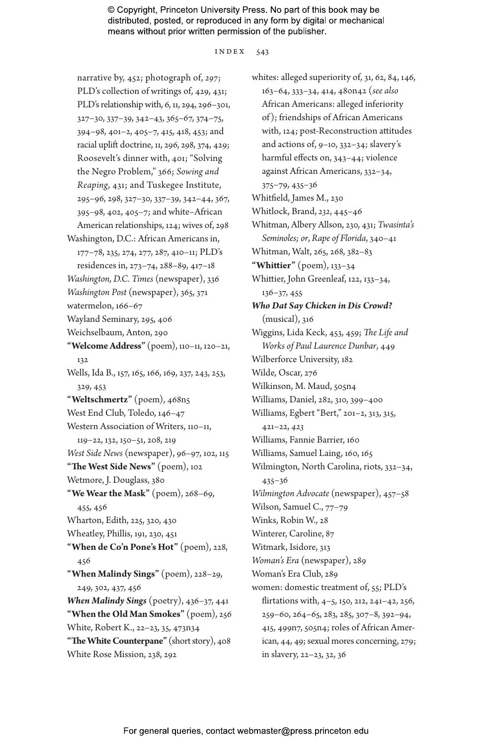#### index 543

narrative by, 452; photograph of, *297*; PLD's collection of writings of, 429, 431; PLD's relationship with, 6, 11, 294, 296–301, 327–30, 337–39, 342–43, 365–67, 374–75, 394–98, 401–2, 405–7, 415, 418, 453; and racial uplift doctrine, 11, 296, 298, 374, 429; Roosevelt's dinner with, 401; "Solving the Negro Problem," 366; *Sowing and Reaping*, 431; and Tuskegee Institute, 295–96, 298, 327–30, 337–39, 342–44, 367, 395–98, 402, 405–7; and white–African American relationships, 124; wives of, 298 Washington, D.C.: African Americans in, 177–78, 235, 274, 277, 287, 410–11; PLD's residences in, 273–74, 288–89, 417–18 *Washington, D.C. Times* (newspaper), 336 *Washington Post* (newspaper), 365, 371 watermelon, 166–67 Wayland Seminary, 295, 406 Weichselbaum, Anton, 290 **"Welcome Address"** (poem), 110–11, 120–21, 132 Wells, Ida B., 157, 165, 166, 169, 237, 243, 253, 329, 453 **"Weltschmertz"** (poem), 468n5 West End Club, Toledo, 146–47 Western Association of Writers, 110–11, 119–22, 132, 150–51, 208, 219 *West Side News* (newspaper), 96–97, 102, 115 **"The West Side News"** (poem), 102 Wetmore, J. Douglass, 380 **"We Wear the Mask"** (poem), 268–69, 455, 456 Wharton, Edith, 225, 320, 430 Wheatley, Phillis, 191, 230, 451 **"When de Co'n Pone's Hot"** (poem), 228, 456 **"When Malindy Sings"** (poem), 228–29, 249, 302, 437, 456 *When Malindy Sings* (poetry), 436–37, 441 **"When the Old Man Smokes"** (poem), 256 White, Robert K., 22–23, 35, 473n34 **"The White Counterpane"** (short story), 408 White Rose Mission, 238, 292

whites: alleged superiority of, 31, 62, 84, 146, 163–64, 333–34, 414, 480n42 (*see also* African Americans: alleged inferiority of); friendships of African Americans with, 124; post-Reconstruction attitudes and actions of, 9–10, 332–34; slavery's harmful effects on, 343–44; violence against African Americans, 332–34, 375–79, 435–36 Whitfield, James M., 230 Whitlock, Brand, *232*, 445–46 Whitman, Albery Allson, 230, 431; *Twasinta's Seminoles; or*, *Rape of Florida*, 340–41 Whitman, Walt, 265, 268, 382–83 **"Whittier"** (poem), 133–34 Whittier, John Greenleaf, 122, 133–34, 136–37, 455 *Who Dat Say Chicken in Dis Crowd?* (musical), 316 Wiggins, Lida Keck, 453, 459; *The Life and Works of Paul Laurence Dunbar*, 449 Wilberforce University, 182 Wilde, Oscar, 276 Wilkinson, M. Maud, 505n4 Williams, Daniel, 282, 310, 399–400 Williams, Egbert "Bert," 201–2, 313, 315, 421–22, *423* Williams, Fannie Barrier, 160 Williams, Samuel Laing, 160, 165 Wilmington, North Carolina, riots, 332–34, 435–36 *Wilmington Advocate* (newspaper), 457–58 Wilson, Samuel C., 77–79 Winks, Robin W., 28 Winterer, Caroline, 87 Witmark, Isidore, 313 *Woman's Era* (newspaper), 289 Woman's Era Club, 289 women: domestic treatment of, 55; PLD's flirtations with, 4–5, 150, 212, 241–42, 256, 259–60, 264–65, 283, 285, 307–8, 392–94, 415, 499n7, 505n4; roles of African American, 44, 49; sexual mores concerning, 279; in slavery, 22–23, 32, 36